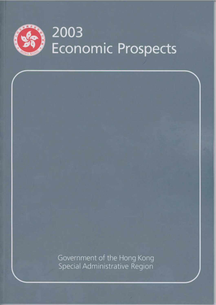

Government of the Hong Kong<br>Special Administrative Region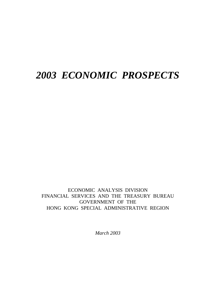# *2003 ECONOMIC PROSPECTS*

ECONOMIC ANALYSIS DIVISION FINANCIAL SERVICES AND THE TREASURY BUREAU GOVERNMENT OF THE HONG KONG SPECIAL ADMINISTRATIVE REGION

*March 2003*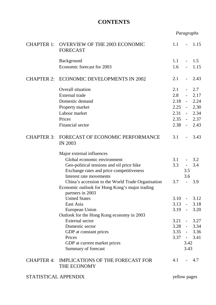# **CONTENTS**

| <b>CHAPTER 1:</b>    | 1.1                                                                |              | 1.15                |               |
|----------------------|--------------------------------------------------------------------|--------------|---------------------|---------------|
|                      | Background                                                         | 1.1          |                     | 1.5           |
|                      | Economic forecast for 2003                                         | 1.6          | $\sim$              | 1.15          |
| <b>CHAPTER 2:</b>    | <b>ECONOMIC DEVELOPMENTS IN 2002</b>                               | 2.1          |                     | 2.43          |
|                      | Overall situation                                                  | 2.1          |                     | 2.7           |
|                      | <b>External</b> trade                                              | 2.8          | $\omega_{\rm{max}}$ | 2.17          |
|                      | Domestic demand                                                    | 2.18         | $\omega_{\rm{max}}$ | 2.24          |
|                      | Property market                                                    |              |                     | $2.25 - 2.30$ |
|                      | Labour market                                                      | 2.31         |                     | $-2.34$       |
|                      | Prices                                                             | 2.35         |                     | $-2.37$       |
|                      | Financial sector                                                   | 2.38         |                     | $-2.43$       |
| <b>CHAPTER 3:</b>    | FORECAST OF ECONOMIC PERFORMANCE<br><b>IN 2003</b>                 | 3.1          |                     | 3.43          |
|                      | Major external influences                                          |              |                     |               |
|                      | Global economic environment                                        | 3.1          |                     | 3.2           |
|                      | Geo-political tensions and oil price hike                          | 3.3          |                     | 3.4           |
|                      | Exchange rates and price competitiveness                           |              | 3.5                 |               |
|                      | Interest rate movements                                            |              | 3.6                 |               |
|                      | China's accession to the World Trade Organisation                  | 3.7          | $\blacksquare$      | 3.9           |
|                      | Economic outlook for Hong Kong's major trading<br>partners in 2003 |              |                     |               |
|                      | <b>United States</b>                                               | 3.10         | $\blacksquare$      | 3.12          |
|                      | East Asia                                                          |              |                     | $3.13 - 3.18$ |
|                      | European Union                                                     |              |                     | $3.19 - 3.20$ |
|                      | Outlook for the Hong Kong economy in 2003                          |              |                     |               |
|                      | <b>External</b> sector                                             |              |                     | $3.21 - 3.27$ |
|                      | Domestic sector                                                    |              |                     | $3.28 - 3.34$ |
|                      | GDP at constant prices                                             |              |                     | $3.35 - 3.36$ |
|                      | Prices                                                             |              |                     | $3.37 - 3.41$ |
|                      | GDP at current market prices                                       |              | 3.42                |               |
|                      | Summary of forecast                                                |              | 3.43                |               |
|                      | CHAPTER 4: IMPLICATIONS OF THE FORECAST FOR<br>THE ECONOMY         | 4.1          |                     | $-4.7$        |
| STATISTICAL APPENDIX |                                                                    | yellow pages |                     |               |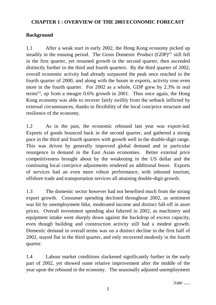## **CHAPTER 1 : OVERVIEW OF THE 2003 ECONOMIC FORECAST**

## **Background**

1.1 After a weak start in early 2002, the Hong Kong economy picked up steadily in the ensuing period. The Gross Domestic Product  $(GDP)^{(1)}$  still fell in the first quarter, yet resumed growth in the second quarter, then ascended distinctly further in the third and fourth quarters. By the third quarter of 2002, overall economic activity had already surpassed the peak once reached in the fourth quarter of 2000, and along with the boom in exports, activity rose even more in the fourth quarter. For 2002 as a whole, GDP grew by 2.3% in real terms<sup>(2)</sup>, up from a meagre  $0.6\%$  growth in 2001. Thus once again, the Hong Kong economy was able to recover fairly swiftly from the setback inflicted by external circumstances, thanks to flexibility of the local cost/price structure and resilience of the economy.

1.2 As in the past, the economic rebound last year was export-led. Exports of goods bounced back in the second quarter, and gathered a strong pace in the third and fourth quarters with growth well in the double-digit range. This was driven by generally improved global demand and in particular resurgence in demand in the East Asian economies. Better external price competitiveness brought about by the weakening in the US dollar and the continuing local cost/price adjustments rendered an additional boost. Exports of services had an even more robust performance, with inbound tourism, offshore trade and transportation services all attaining double-digit growth.

1.3 The domestic sector however had not benefited much from the strong export growth. Consumer spending declined throughout 2002, as sentiment was hit by unemployment hike, moderated income and distinct fall-off in asset prices. Overall investment spending also faltered in 2002, as machinery and equipment intake went sharply down against the backdrop of excess capacity, even though building and construction activity still had a modest growth. Domestic demand in overall terms was on a distinct decline in the first half of 2002, stayed flat in the third quarter, and only recovered modestly in the fourth quarter.

1.4 Labour market conditions slackened significantly further in the early part of 2002, yet showed some relative improvement after the middle of the year upon the rebound in the economy. The seasonally adjusted unemployment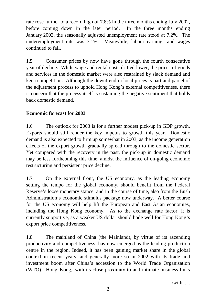rate rose further to a record high of 7.8% in the three months ending July 2002, before coming down in the later period. In the three months ending January 2003, the seasonally adjusted unemployment rate stood at 7.2%. The underemployment rate was 3.1%. Meanwhile, labour earnings and wages continued to fall.

1.5 Consumer prices by now have gone through the fourth consecutive year of decline. While wage and rental costs drifted lower, the prices of goods and services in the domestic market were also restrained by slack demand and keen competition. Although the downtrend in local prices is part and parcel of the adjustment process to uphold Hong Kong's external competitiveness, there is concern that the process itself is sustaining the negative sentiment that holds back domestic demand.

# **Economic forecast for 2003**

1.6 The outlook for 2003 is for a further modest pick-up in GDP growth. Exports should still render the key impetus to growth this year. Domestic demand is also expected to firm up somewhat in 2003, as the income generation effects of the export growth gradually spread through to the domestic sector. Yet compared with the recovery in the past, the pick-up in domestic demand may be less forthcoming this time, amidst the influence of on-going economic restructuring and persistent price decline.

1.7 On the external front, the US economy, as the leading economy setting the tempo for the global economy, should benefit from the Federal Reserve's loose monetary stance, and in the course of time, also from the Bush Administration's economic stimulus package now underway. A better course for the US economy will help lift the European and East Asian economies, including the Hong Kong economy. As to the exchange rate factor, it is currently supportive, as a weaker US dollar should bode well for Hong Kong's export price competitiveness.

1.8 The mainland of China (the Mainland), by virtue of its ascending productivity and competitiveness, has now emerged as the leading production centre in the region. Indeed, it has been gaining market share in the global context in recent years, and generally more so in 2002 with its trade and investment boom after China's accession to the World Trade Organisation (WTO). Hong Kong, with its close proximity to and intimate business links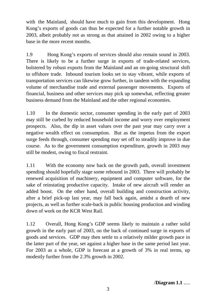with the Mainland, should have much to gain from this development. Hong Kong's exports of goods can thus be expected for a further notable growth in 2003, albeit probably not as strong as that attained in 2002 owing to a higher base in the more recent months.

1.9 Hong Kong's exports of services should also remain sound in 2003. There is likely to be a further surge in exports of trade-related services, bolstered by robust exports from the Mainland and an on-going structural shift to offshore trade. Inbound tourism looks set to stay vibrant, while exports of transportation services can likewise grow further, in tandem with the expanding volume of merchandise trade and external passenger movements. Exports of financial, business and other services may pick up somewhat, reflecting greater business demand from the Mainland and the other regional economies.

1.10 In the domestic sector, consumer spending in the early part of 2003 may still be curbed by reduced household income and worry over employment prospects. Also, the dip in asset values over the past year may carry over a negative wealth effect on consumption. But as the impetus from the export surge feeds through, consumer spending may set off to steadily improve in due course. As to the government consumption expenditure, growth in 2003 may still be modest, owing to fiscal restraint.

1.11 With the economy now back on the growth path, overall investment spending should hopefully stage some rebound in 2003. There will probably be renewed acquisition of machinery, equipment and computer software, for the sake of reinstating productive capacity. Intake of new aircraft will render an added boost. On the other hand, overall building and construction activity, after a brief pick-up last year, may fall back again, amidst a dearth of new projects, as well as further scale-back in public housing production and winding down of work on the KCR West Rail.

1.12 Overall, Hong Kong's GDP seems likely to maintain a rather solid growth in the early part of 2003, on the back of continued surge in exports of goods and services. GDP may then settle to a relatively milder growth pace in the latter part of the year, set against a higher base in the same period last year. For 2003 as a whole, GDP is forecast at a growth of 3% in real terms, up modestly further from the 2.3% growth in 2002.

/**Diagram 1.1** .....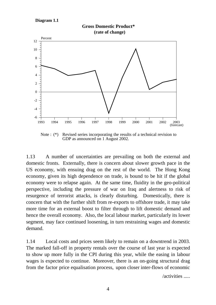#### **Diagram 1.1**



**Gross Domestic Product\***

Note : (\*) Revised series incorporating the results of a technical revision to GDP as announced on 1 August 2002.

1.13 A number of uncertainties are prevailing on both the external and domestic fronts. Externally, there is concern about slower growth pace in the US economy, with ensuing drag on the rest of the world. The Hong Kong economy, given its high dependence on trade, is bound to be hit if the global economy were to relapse again. At the same time, fluidity in the geo-political perspective, including the pressure of war on Iraq and alertness to risk of resurgence of terrorist attacks, is clearly disturbing. Domestically, there is concern that with the further shift from re-exports to offshore trade, it may take more time for an external boost to filter through to lift domestic demand and hence the overall economy. Also, the local labour market, particularly its lower segment, may face continued loosening, in turn restraining wages and domestic demand.

1.14 Local costs and prices seem likely to remain on a downtrend in 2003. The marked fall-off in property rentals over the course of last year is expected to show up more fully in the CPI during this year, while the easing in labour wages is expected to continue. Moreover, there is an on-going structural drag from the factor price equalisation process, upon closer inter-flows of economic

/activities .....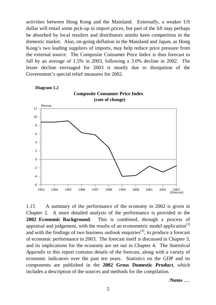activities between Hong Kong and the Mainland. Externally, a weaker US dollar will entail some pick-up in import prices, but part of the lift may perhaps be absorbed by local retailers and distributors amidst keen competition in the domestic market. Also, on-going deflation in the Mainland and Japan, as Hong Kong's two leading suppliers of imports, may help reduce price pressure from the external source. The Composite Consumer Price Index is thus forecast to fall by an average of 1.5% in 2003, following a 3.0% decline in 2002. The lesser decline envisaged for 2003 is mostly due to dissipation of the Government's special relief measures for 2002.



1.15 A summary of the performance of the economy in 2002 is given in Chapter 2. A more detailed analysis of the performance is provided in the **2002 Economic Background**. This is combined, through a process of appraisal and judgement, with the results of an econometric model application<sup>(3)</sup> and with the findings of two business outlook enquiries<sup> $(4)$ </sup>, to produce a forecast of economic performance in 2003. The forecast itself is discussed in Chapter 3, and its implications for the economy are set out in Chapter 4. The *Statistical Appendix* to this report contains details of the forecast, along with a variety of economic indicators over the past ten years. Statistics on the GDP and its components are published in the **2002 Gross Domestic Product**, which includes a description of the sources and methods for the compilation.

/**Notes** .....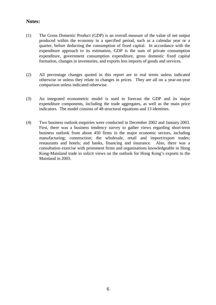## **Notes:**

- (1) The Gross Domestic Product (GDP) is an overall measure of the value of net output produced within the economy in a specified period, such as a calendar year or a quarter, before deducting the consumption of fixed capital. In accordance with the expenditure approach to its estimation, GDP is the sum of private consumption expenditure, government consumption expenditure, gross domestic fixed capital formation, changes in inventories, and exports less imports of goods and services.
- (2) All percentage changes quoted in this report are in real terms unless indicated otherwise or unless they relate to changes in prices. They are all on a year-on-year comparison unless indicated otherwise.
- (3) An integrated econometric model is used to forecast the GDP and its major expenditure components, including the trade aggregates, as well as the main price indicators. The model consists of 48 structural equations and 13 identities.
- (4) Two business outlook enquiries were conducted in December 2002 and January 2003. First, there was a business tendency survey to gather views regarding short-term business outlook from about 450 firms in the major economic sectors, including manufacturing; construction; the wholesale, retail and import/export trades; restaurants and hotels; and banks, financing and insurance. Also, there was a consultation exercise with prominent firms and organisations knowledgeable in Hong Kong-Mainland trade to solicit views on the outlook for Hong Kong's exports to the Mainland in 2003.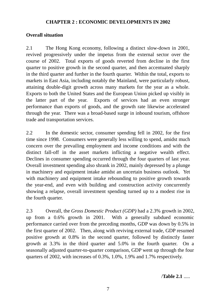## **CHAPTER 2 : ECONOMIC DEVELOPMENTS IN 2002**

## **Overall situation**

2.1 The Hong Kong economy, following a distinct slow-down in 2001, revived progressively under the impetus from the external sector over the course of 2002. Total exports of goods reverted from decline in the first quarter to positive growth in the second quarter, and then accentuated sharply in the third quarter and further in the fourth quarter. Within the total, exports to markets in East Asia, including notably the Mainland, were particularly robust, attaining double-digit growth across many markets for the year as a whole. Exports to both the United States and the European Union picked up visibly in the latter part of the year. Exports of services had an even stronger performance than exports of goods, and the growth rate likewise accelerated through the year. There was a broad-based surge in inbound tourism, offshore trade and transportation services.

2.2 In the domestic sector, consumer spending fell in 2002, for the first time since 1998. Consumers were generally less willing to spend, amidst much concern over the prevailing employment and income conditions and with the distinct fall-off in the asset markets inflicting a negative wealth effect. Declines in consumer spending occurred through the four quarters of last year. Overall investment spending also shrank in 2002, mainly depressed by a plunge in machinery and equipment intake amidst an uncertain business outlook. Yet with machinery and equipment intake rebounding to positive growth towards the year-end, and even with building and construction activity concurrently showing a relapse, overall investment spending turned up to a modest rise in the fourth quarter.

2.3 Overall, the *Gross Domestic Product (GDP)* had a 2.3% growth in 2002, up from a 0.6% growth in 2001. With a generally subdued economic performance carried over from the preceding months, GDP was down by 0.5% in the first quarter of 2002. Then, along with reviving external trade, GDP resumed positive growth at 0.8% in the second quarter, followed by distinctly faster growth at 3.3% in the third quarter and 5.0% in the fourth quarter. On a seasonally adjusted quarter-to-quarter comparison, GDP went up through the four quarters of 2002, with increases of 0.3%, 1.0%, 1.9% and 1.7% respectively.

/**Table 2.1** .....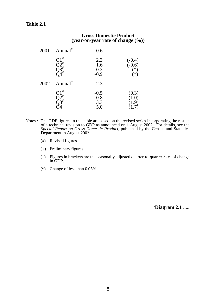#### **Table 2.1**

#### **Gross Domestic Product (year-on-year rate of change (%))**

| 2001 | Annual $^{\#}$                | 0.6                                |                                         |
|------|-------------------------------|------------------------------------|-----------------------------------------|
|      | #<br>Q1"<br>Q2#<br>Q3#<br>O4# | $2.3$<br>$1.6$<br>$-0.3$<br>$-0.9$ | $(-0.4)$<br>$(-0.6)$<br>$(*)$<br>$\ast$ |
| 2002 | Annual <sup>+</sup>           | 2.3                                |                                         |
|      | #                             | $-0.5$<br>0.8<br>3.3<br>5.0        | (0.3)                                   |

- Notes : The GDP figures in this table are based on the revised series incorporating the results of a technical revision to GDP as announced on 1 August 2002. For details, see the *Special Report on Gross Domestic Product*, published by the Census and Statistics Department in August 2002.
	- (#) Revised figures.
	- (+) Preliminary figures.
	- ( ) Figures in brackets are the seasonally adjusted quarter-to-quarter rates of change in GDP.
	- (\*) Change of less than 0.05%.

/**Diagram 2.1** .....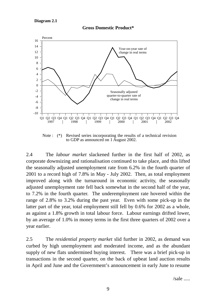



Note : (\*) Revised series incorporating the results of a technical revision to GDP as announced on 1 August 2002.

2.4 The *labour market* slackened further in the first half of 2002, as corporate downsizing and rationalisation continued to take place, and this lifted the seasonally adjusted unemployment rate from 6.2% in the fourth quarter of 2001 to a record high of 7.8% in May - July 2002. Then, as total employment improved along with the turnaround in economic activity, the seasonally adjusted unemployment rate fell back somewhat in the second half of the year, to 7.2% in the fourth quarter. The underemployment rate hovered within the range of 2.8% to 3.2% during the past year. Even with some pick-up in the latter part of the year, total employment still fell by 0.6% for 2002 as a whole, as against a 1.8% growth in total labour force. Labour earnings drifted lower, by an average of 1.0% in money terms in the first three quarters of 2002 over a year earlier.

2.5 The *residential property market* slid further in 2002, as demand was curbed by high unemployment and moderated income, and as the abundant supply of new flats undermined buying interest. There was a brief pick-up in transactions in the second quarter, on the back of upbeat land auction results in April and June and the Government's announcement in early June to resume

 $/sale$  .....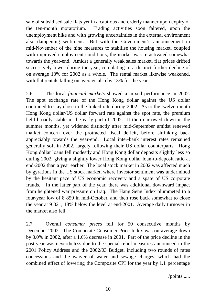sale of subsidised sale flats yet in a cautious and orderly manner upon expiry of the ten-month moratorium. Trading activities soon faltered, upon the unemployment hike and with growing uncertainties in the external environment also dampening sentiment. But with the Government's announcement in mid-November of the nine measures to stabilise the housing market, coupled with improved employment conditions, the market was re-activated somewhat towards the year-end. Amidst a generally weak sales market, flat prices drifted successively lower during the year, cumulating to a distinct further decline of on average 13% for 2002 as a whole. The rental market likewise weakened, with flat rentals falling on average also by 13% for the year.

2.6 The local *financial markets* showed a mixed performance in 2002. The spot exchange rate of the Hong Kong dollar against the US dollar continued to stay close to the linked rate during 2002. As to the twelve-month Hong Kong dollar/US dollar forward rate against the spot rate, the premium held broadly stable in the early part of 2002. It then narrowed down in the summer months, yet widened distinctly after mid-September amidst renewed market concern over the protracted fiscal deficit, before shrinking back appreciably towards the year-end. Local inter-bank interest rates remained generally soft in 2002, largely following their US dollar counterparts. Hong Kong dollar loans fell modestly and Hong Kong dollar deposits slightly less so during 2002, giving a slightly lower Hong Kong dollar loan-to-deposit ratio at end-2002 than a year earlier. The local stock market in 2002 was affected much by gyrations in the US stock market, where investor sentiment was undermined by the hesitant pace of US economic recovery and a spate of US corporate frauds. In the latter part of the year, there was additional downward impact from heightened war pressure on Iraq. The Hang Seng Index plummeted to a four-year low of 8 859 in mid-October, and then rose back somewhat to close the year at 9 321, 18% below the level at end-2001. Average daily turnover in the market also fell.

2.7 Overall *consumer prices* fell for 50 consecutive months by December 2002. The Composite Consumer Price Index was on average down by 3.0% in 2002, after a 1.6% decrease in 2001. Part of the price decline in the past year was nevertheless due to the special relief measures announced in the 2001 Policy Address and the 2002/03 Budget, including two rounds of rates concessions and the waiver of water and sewage charges, which had the combined effect of lowering the Composite CPI for the year by 1.1 percentage

/points .....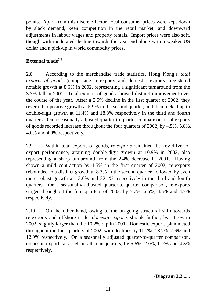points. Apart from this discrete factor, local consumer prices were kept down by slack demand, keen competition in the retail market, and downward adjustments in labour wages and property rentals. Import prices were also soft, though with moderated decline towards the year-end along with a weaker US dollar and a pick-up in world commodity prices.

# **External trade**<sup>(1)</sup>

2.8 According to the merchandise trade statistics, Hong Kong's *total exports of goods* (comprising re-exports and domestic exports) registered notable growth at 8.6% in 2002, representing a significant turnaround from the 3.3% fall in 2001. Total exports of goods showed distinct improvement over the course of the year. After a 2.5% decline in the first quarter of 2002, they reverted to positive growth at 5.9% in the second quarter, and then picked up to double-digit growth at 11.4% and 18.3% respectively in the third and fourth quarters. On a seasonally adjusted quarter-to-quarter comparison, total exports of goods recorded increase throughout the four quarters of 2002, by 4.5%, 5.8%, 4.0% and 4.0% respectively.

2.9 Within total exports of goods, *re-exports* remained the key driver of export performance, attaining double-digit growth at 10.9% in 2002, also representing a sharp turnaround from the 2.4% decrease in 2001. Having shown a mild contraction by 1.5% in the first quarter of 2002, re-exports rebounded to a distinct growth at 8.3% in the second quarter, followed by even more robust growth at 13.6% and 22.1% respectively in the third and fourth quarters. On a seasonally adjusted quarter-to-quarter comparison, re-exports surged throughout the four quarters of 2002, by 5.7%, 6.6%, 4.5% and 4.7% respectively.

2.10 On the other hand, owing to the on-going structural shift towards re-exports and offshore trade, *domestic exports* shrank further, by 11.3% in 2002, slightly larger than the 10.2% dip in 2001. Domestic exports plummeted throughout the four quarters of 2002, with declines by 11.2%, 13.7%, 7.6% and 12.9% respectively. On a seasonally adjusted quarter-to-quarter comparison, domestic exports also fell in all four quarters, by 5.6%, 2.0%, 0.7% and 4.3% respectively.

/**Diagram 2.2** .....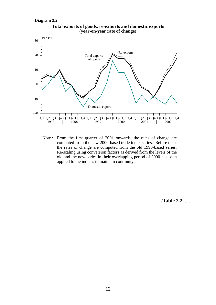```
Diagram 2.2
```


**Total exports of goods, re-exports and domestic exports (year-on-year rate of change)**

Note : From the first quarter of 2001 onwards, the rates of change are computed from the new 2000-based trade index series. Before then, the rates of change are computed from the old 1990-based series. Re-scaling using conversion factors as derived from the levels of the old and the new series in their overlapping period of 2000 has been applied to the indices to maintain continuity.

/**Table 2.2** .....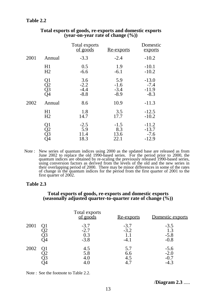## **Table 2.2**

|      |                      | Total exports<br>of goods         | <u>Re-exports</u>                 | Domestic<br>exports                     |
|------|----------------------|-----------------------------------|-----------------------------------|-----------------------------------------|
| 2001 | Annual               | $-3.3$                            | $-2.4$                            | $-10.2$                                 |
|      | H1<br>H <sub>2</sub> | 0.5<br>$-6.6$                     | 1.9<br>$-6.1$                     | $-10.1$<br>$-10.2$                      |
|      | Q1<br>Q2<br>Q3<br>Q4 | 3.6<br>$-2.2$<br>$-4.4$<br>$-8.8$ | 5.9<br>$-1.6$<br>$-3.4$<br>$-8.9$ | $-13.0$<br>$-7.4$<br>$-11.9$<br>$-8.3$  |
| 2002 | Annual               | 8.6                               | 10.9                              | $-11.3$                                 |
|      | H1<br>H <sub>2</sub> | 1.8<br>14.7                       | 3.5<br>17.7                       | $-12.5$<br>$-10.2$                      |
|      | Q1<br>Q2<br>Q3<br>Q3 | $-2.5$<br>5.9<br>11.4<br>18.3     | $-1.5$<br>8.3<br>13.6<br>22.1     | $-11.2$<br>$-13.7$<br>$-7.6$<br>$-12.9$ |

#### **Total exports of goods, re-exports and domestic exports (year-on-year rate of change (%))**

Note : New series of quantum indices using 2000 as the updated base are released as from June 2002 to replace the old 1990-based series. For the period prior to 2000, the quantum indices are obtained by re-scaling the previously released 1990-based series, using conversion factors as derived from the levels of the old and the new series in their overlapping period of 2000. There may be minor differences in some of the rates of change in the quantum indices for the period from the first quarter of 2001 to the first quarter of 2002.

#### **Table 2.3**

#### **Total exports of goods, re-exports and domestic exports (seasonally adjusted quarter-to-quarter rate of change (%))**

|      | Total exports<br>of goods         | <u>Re-exports</u>          | Domestic exports                     |
|------|-----------------------------------|----------------------------|--------------------------------------|
| 2001 | $-3.7$<br>$-2.7$<br>0.3<br>$-3.8$ | $-3.7$<br>$-3.2$<br>$-4.1$ | $-3.5$<br>1.3<br>$-5.8$<br>$-0.8$    |
| 2002 | 4.5<br>5.8<br>4.0                 | 5.7<br>6.6<br>4.5          | $-5.6$<br>$-2.0$<br>$-0.7$<br>$-4.3$ |

Note : See the footnote to Table 2.2.

/**Diagram 2.3** .....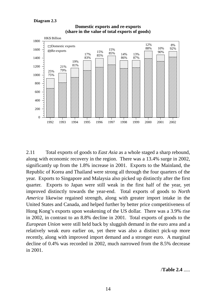

**Domestic exports and re-exports (share in the value of total exports of goods)**

2.11 Total exports of goods to *East Asia* as a whole staged a sharp rebound, along with economic recovery in the region. There was a 13.4% surge in 2002, significantly up from the 1.8% increase in 2001. Exports to the Mainland, the Republic of Korea and Thailand were strong all through the four quarters of the year. Exports to Singapore and Malaysia also picked up distinctly after the first quarter. Exports to Japan were still weak in the first half of the year, yet improved distinctly towards the year-end. Total exports of goods to *North America* likewise regained strength, along with greater import intake in the United States and Canada, and helped further by better price competitiveness of Hong Kong's exports upon weakening of the US dollar. There was a 3.9% rise in 2002, in contrast to an 8.8% decline in 2001. Total exports of goods to the *European Union* were still held back by sluggish demand in the euro area and a relatively weak euro earlier on, yet there was also a distinct pick-up more recently, along with improved import demand and a stronger euro. A marginal decline of 0.4% was recorded in 2002, much narrowed from the 8.5% decrease in 2001.

/**Table 2.4** .....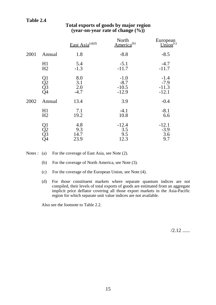## **Table 2.4**

|      |                      | East Asia $^{(a)(d)}$       | North<br>America <sup>(b)</sup>        | European<br>Union <sup>(c)</sup>       |
|------|----------------------|-----------------------------|----------------------------------------|----------------------------------------|
| 2001 | Annual               | 1.8                         | $-8.8$                                 | $-8.5$                                 |
|      | H1<br>H <sub>2</sub> | 5.4<br>$-1.3$               | $-5.1$<br>$-11.7$                      | $-4.7$<br>$-11.7$                      |
|      | Q1<br>Q2<br>Q3<br>Q4 | 8.0<br>3.1<br>2.0<br>$-4.7$ | $-1.0$<br>$-8.7$<br>$-10.5$<br>$-12.9$ | $-1.4$<br>$-7.9$<br>$-11.3$<br>$-12.1$ |
| 2002 | Annual               | 13.4                        | 3.9                                    | $-0.4$                                 |
|      | H1<br>H2             | 7.1<br>19.2                 | $-4.1$<br>10.8                         | $-8.1$<br>6.6                          |
|      | Q1<br>Q2<br>Q3<br>Q4 | 4.8<br>9.3<br>14.7<br>23.9  | $-12.4$<br>3.5<br>9.5<br>12.3          | $-12.1$<br>$-3.9$<br>3.6<br>9.7        |

## **Total exports of goods by major region (year-on-year rate of change (%))**

Notes : (a) For the coverage of East Asia, see Note (2).

(b) For the coverage of North America, see Note (3).

- (c) For the coverage of the European Union, see Note (4).
- (d) For those constituent markets where separate quantum indices are not compiled, their levels of total exports of goods are estimated from an aggregate implicit price deflator covering all those export markets in the Asia-Pacific region for which separate unit value indices are not available.

Also see the footnote to Table 2.2.

 $/2.12$  ......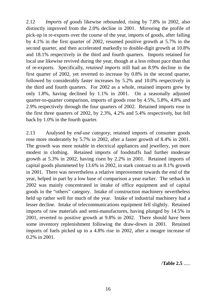2.12 *Imports of goods* likewise rebounded, rising by 7.8% in 2002, also distinctly improved from the 2.0% decline in 2001. Mirroring the profile of pick-up in re-exports over the course of the year, imports of goods, after falling by 4.1% in the first quarter of 2002, resumed positive growth at 5.7% in the second quarter, and then accelerated markedly to double-digit growth at 10.8% and 18.1% respectively in the third and fourth quarters. Imports retained for local use likewise revived during the year, though at a less robust pace than that of re-exports. Specifically, *retained imports* still had an 8.9% decline in the first quarter of 2002, yet reverted to increase by 0.8% in the second quarter, followed by considerably faster increases by 5.2% and 10.0% respectively in the third and fourth quarters. For 2002 as a whole, retained imports grew by only 1.8%, having declined by 1.1% in 2001. On a seasonally adjusted quarter-to-quarter comparison, imports of goods rose by 4.5%, 5.8%, 4.8% and 2.9% respectively through the four quarters of 2002. Retained imports rose in the first three quarters of 2002, by 2.3%, 4.2% and 5.4% respectively, but fell back by 1.0% in the fourth quarter.

2.13 Analysed by *end-use category*, retained imports of consumer goods rose more moderately by 5.7% in 2002, after a faster growth of 8.4% in 2001. The growth was more notable in electrical appliances and jewellery, yet more modest in clothing. Retained imports of foodstuffs had further moderate growth at 5.3% in 2002, having risen by 2.2% in 2001. Retained imports of capital goods plummeted by 13.6% in 2002, in stark contrast to an 8.1% growth in 2001. There was nevertheless a relative improvement towards the end of the year, helped in part by a low base of comparison a year earlier. The setback in 2002 was mainly concentrated in intake of office equipment and of capital goods in the "others" category. Intake of construction machinery nevertheless held up rather well for much of the year. Intake of industrial machinery had a lesser decline. Intake of telecommunications equipment fell slightly. Retained imports of raw materials and semi-manufactures, having plunged by 14.5% in 2001, reverted to positive growth at 9.8% in 2002. There should have been some inventory replenishment following the draw-down in 2001. Retained imports of fuels picked up to a 4.8% rise in 2002, after a meagre increase of 0.2% in 2001.

/**Table 2.5** .....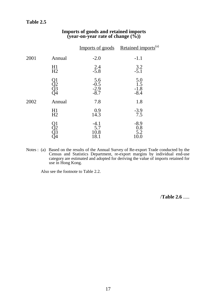## **Table 2.5**

|      |                          |                                   | Imports of goods Retained imports <sup>(a)</sup> |
|------|--------------------------|-----------------------------------|--------------------------------------------------|
| 2001 | Annual                   | $-2.0$                            | $-1.1$                                           |
|      | H1<br>H <sub>2</sub>     | 2.4<br>$-5.8$                     | 3.2<br>$-5.1$                                    |
|      | ) 1<br>) 2<br>) 3<br>) 4 | 5.6<br>$-0.5$<br>$-2.9$<br>$-8.7$ | 5.0<br>1.5<br>$-1.8$<br>$-8.4$                   |
| 2002 | Annual                   | 7.8                               | 1.8                                              |
|      | H1<br>H <sub>2</sub>     | 0.9<br>14.3                       | $-3.9$<br>7.5                                    |
|      | )<br>23<br>34            | $-4.1$<br>5.7<br>10.8<br>18.1     | $-8.9$<br>0.8<br>5.2<br>10.0                     |

## **Imports of goods and retained imports (year-on-year rate of change (%))**

Notes : (a) Based on the results of the Annual Survey of Re-export Trade conducted by the Census and Statistics Department, re-export margins by individual end-use category are estimated and adopted for deriving the value of imports retained for use in Hong Kong.

Also see the footnote to Table 2.2.

/**Table 2.6** .....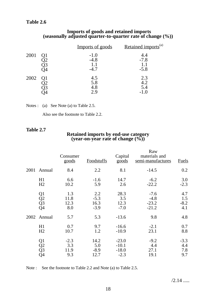## **Table 2.6**

#### **Imports of goods and retained imports (seasonally adjusted quarter-to-quarter rate of change (%))**

|      | Imports of goods           | Retained imports <sup>(a)</sup> |
|------|----------------------------|---------------------------------|
| 2001 | $-1.0$<br>$-4.8$<br>$-4.7$ | 4.4<br>$-7.8$<br>$-5.8$         |
| 2002 | 4.5<br>5.8<br>4.8<br>2.9   | 2.3<br>4.2<br>5.4<br>-1.0       |

Notes : (a) See Note (a) to Table 2.5.

Also see the footnote to Table 2.2.

### **Table 2.7**

# **Retained imports by end-use category (year-on-year rate of change (%))**

|      |                                                            | Consumer<br>goods            | <b>Foodstuffs</b>               | Capital<br>$\overline{goods}$           | Raw<br>materials and<br>semi-manufactures | <b>Fuels</b>                |
|------|------------------------------------------------------------|------------------------------|---------------------------------|-----------------------------------------|-------------------------------------------|-----------------------------|
| 2001 | Annual                                                     | 8.4                          | 2.2                             | 8.1                                     | $-14.5$                                   | 0.2                         |
|      | H1<br>H2                                                   | 6.6<br>10.2                  | $-1.6$<br>5.9                   | 14.7<br>2.6                             | $-6.2$<br>$-22.2$                         | 3.0<br>$-2.3$               |
|      | Q1<br>$\overline{Q}2$<br>$\overline{Q}3$<br>Q <sub>4</sub> | 1.3<br>11.8<br>12.3<br>8.0   | 2.2<br>$-5.3$<br>16.3<br>$-3.9$ | 28.3<br>3.5<br>12.3<br>$-7.0$           | $-7.6$<br>$-4.8$<br>$-23.2$<br>$-21.2$    | 4.7<br>1.5<br>$-8.2$<br>4.1 |
| 2002 | Annual                                                     | 5.7                          | 5.3                             | $-13.6$                                 | 9.8                                       | 4.8                         |
|      | H1<br>H2                                                   | 0.7<br>10.7                  | 9.7<br>1.2                      | $-16.6$<br>$-10.9$                      | $-2.1$<br>23.1                            | 0.7<br>8.8                  |
|      | Q1<br>$\overline{Q}$<br>$\overline{Q}$ 3<br>Q4             | $-2.3$<br>3.3<br>11.9<br>9.3 | 14.2<br>5.0<br>$-8.9$<br>12.7   | $-23.0$<br>$-10.1$<br>$-18.0$<br>$-2.3$ | $-9.2$<br>4.4<br>27.1<br>19.1             | $-3.3$<br>4.4<br>7.8<br>9.7 |

Note : See the footnote to Table 2.2 and Note (a) to Table 2.5.

 $/2.14$  .....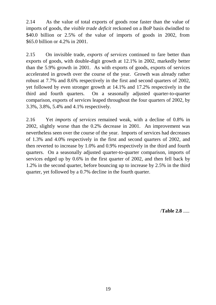2.14 As the value of total exports of goods rose faster than the value of imports of goods, the *visible trade deficit* reckoned on a BoP basis dwindled to \$40.0 billion or 2.5% of the value of imports of goods in 2002, from \$65.0 billion or 4.2% in 2001.

2.15 On invisible trade, *exports of services* continued to fare better than exports of goods, with double-digit growth at 12.1% in 2002, markedly better than the 5.9% growth in 2001. As with exports of goods, exports of services accelerated in growth over the course of the year. Growth was already rather robust at 7.7% and 8.6% respectively in the first and second quarters of 2002, yet followed by even stronger growth at 14.1% and 17.2% respectively in the third and fourth quarters. On a seasonally adjusted quarter-to-quarter comparison, exports of services leaped throughout the four quarters of 2002, by 3.3%, 3.8%, 5.4% and 4.1% respectively.

2.16 Yet *imports of services* remained weak, with a decline of 0.8% in 2002, slightly worse than the 0.2% decrease in 2001. An improvement was nevertheless seen over the course of the year. Imports of services had decreases of 1.3% and 4.0% respectively in the first and second quarters of 2002, and then reverted to increase by 1.0% and 0.9% respectively in the third and fourth quarters. On a seasonally adjusted quarter-to-quarter comparison, imports of services edged up by 0.6% in the first quarter of 2002, and then fell back by 1.2% in the second quarter, before bouncing up to increase by 2.5% in the third quarter, yet followed by a 0.7% decline in the fourth quarter.

/**Table 2.8** .....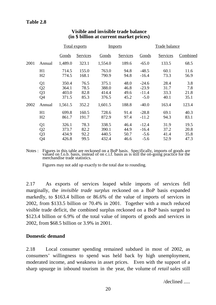|      |                                                          | <b>Total exports</b>             |                              | <b>Imports</b>                   |                              | <b>Trade balance</b>                    |                              |                              |
|------|----------------------------------------------------------|----------------------------------|------------------------------|----------------------------------|------------------------------|-----------------------------------------|------------------------------|------------------------------|
|      |                                                          | Goods                            | <b>Services</b>              | Goods                            | <b>Services</b>              | Goods                                   | Services                     | Combined                     |
| 2001 | Annual                                                   | 1,489.0                          | 323.1                        | 1,554.0                          | 189.6                        | $-65.0$                                 | 133.5                        | 68.5                         |
|      | H1<br>H2                                                 | 714.5<br>774.5                   | 155.0<br>168.1               | 763.0<br>790.9                   | 94.8<br>94.8                 | $-48.5$<br>$-16.4$                      | 60.1<br>73.3                 | 11.6<br>56.9                 |
|      | Q <sub>1</sub><br>Q2<br>Q <sub>3</sub><br>Q <sub>4</sub> | 350.4<br>364.1<br>403.0<br>371.5 | 76.5<br>78.5<br>82.8<br>85.3 | 375.1<br>388.0<br>414.4<br>376.5 | 48.0<br>46.8<br>49.6<br>45.2 | $-24.6$<br>$-23.9$<br>$-11.4$<br>$-5.0$ | 28.4<br>31.7<br>33.3<br>40.1 | 3.8<br>7.8<br>21.8<br>35.1   |
| 2002 | Annual                                                   | 1,561.5                          | 352.2                        | 1,601.5                          | 188.8                        | $-40.0$                                 | 163.4                        | 123.4                        |
|      | H1<br>H2                                                 | 699.8<br>861.7                   | 160.5<br>191.7               | 728.6<br>872.9                   | 91.4<br>97.4                 | $-28.8$<br>$-11.2$                      | 69.1<br>94.3                 | 40.3<br>83.1                 |
|      | Q <sub>1</sub><br>Q2<br>Q <sub>3</sub><br>Q4             | 326.1<br>373.7<br>434.9<br>426.8 | 78.3<br>82.2<br>92.2<br>99.5 | 338.5<br>390.1<br>440.5<br>432.4 | 46.4<br>44.9<br>50.7<br>46.6 | $-12.4$<br>$-16.4$<br>$-5.6$<br>$-5.6$  | 31.9<br>37.2<br>41.4<br>52.9 | 19.5<br>20.8<br>35.8<br>47.3 |
|      |                                                          |                                  |                              |                                  |                              |                                         |                              |                              |

## **Visible and invisible trade balance (in \$ billion at current market prices)**

Notes : Figures in this table are reckoned on a BoP basis. Specifically, imports of goods are valued on f.o.b. basis, instead of on c.i.f. basis as is still the on-going practice for the merchandise trade statistics.

Figures may not add up exactly to the total due to rounding.

2.17 As exports of services leaped while imports of services fell marginally, the *invisible trade surplus* reckoned on a BoP basis expanded markedly, to \$163.4 billion or 86.6% of the value of imports of services in 2002, from \$133.5 billion or 70.4% in 2001. Together with a much reduced visible trade deficit, the combined surplus reckoned on a BoP basis surged to \$123.4 billion or 6.9% of the total value of imports of goods and services in 2002, from \$68.5 billion or 3.9% in 2001.

## **Domestic demand**

2.18 Local consumer spending remained subdued in most of 2002, as consumers' willingness to spend was held back by high unemployment, moderated income, and weakness in asset prices. Even with the support of a sharp upsurge in inbound tourism in the year, the volume of *retail sales* still

/declined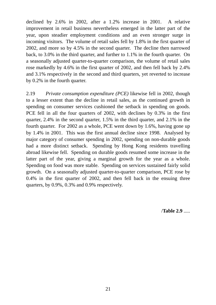declined by 2.6% in 2002, after a 1.2% increase in 2001. A relative improvement in retail business nevertheless emerged in the latter part of the year, upon steadier employment conditions and an even stronger surge in incoming visitors. The volume of retail sales fell by 1.8% in the first quarter of 2002, and more so by 4.5% in the second quarter. The decline then narrowed back, to 3.0% in the third quarter, and further to 1.1% in the fourth quarter. On a seasonally adjusted quarter-to-quarter comparison, the volume of retail sales rose markedly by 4.6% in the first quarter of 2002, and then fell back by 2.4% and 3.1% respectively in the second and third quarters, yet reverted to increase by 0.2% in the fourth quarter.

2.19 *Private consumption expenditure (PCE)* likewise fell in 2002, though to a lesser extent than the decline in retail sales, as the continued growth in spending on consumer services cushioned the setback in spending on goods. PCE fell in all the four quarters of 2002, with declines by 0.3% in the first quarter, 2.4% in the second quarter, 1.5% in the third quarter, and 2.1% in the fourth quarter. For 2002 as a whole, PCE went down by 1.6%, having gone up by 1.4% in 2001. This was the first annual decline since 1998. Analysed by major category of consumer spending in 2002, spending on non-durable goods had a more distinct setback. Spending by Hong Kong residents travelling abroad likewise fell. Spending on durable goods resumed some increase in the latter part of the year, giving a marginal growth for the year as a whole. Spending on food was more stable. Spending on services sustained fairly solid growth. On a seasonally adjusted quarter-to-quarter comparison, PCE rose by 0.4% in the first quarter of 2002, and then fell back in the ensuing three quarters, by 0.9%, 0.3% and 0.9% respectively.

/**Table 2.9** .....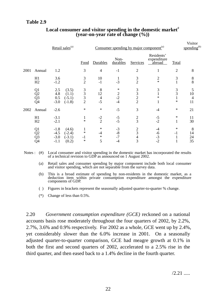|      |                                                                                                 | Retail sales <sup>(a)</sup>                                  |                                                            | Consumer spending by major component <sup>(a)</sup> |                                  |                                                 |                                     |                               | Visitor<br>spending $^{(b)}$ |  |
|------|-------------------------------------------------------------------------------------------------|--------------------------------------------------------------|------------------------------------------------------------|-----------------------------------------------------|----------------------------------|-------------------------------------------------|-------------------------------------|-------------------------------|------------------------------|--|
|      |                                                                                                 |                                                              | Food                                                       | Durables                                            | Non-<br>durables                 | Services                                        | Residents'<br>expenditure<br>abroad | Total                         |                              |  |
| 2001 | Annual                                                                                          | 1.2                                                          | 3                                                          | $\overline{4}$                                      | $-1$                             | $\overline{2}$                                  | 1                                   | $\overline{2}$                | 8                            |  |
|      | H1<br>H2                                                                                        | 3.6<br>$-1.2$                                                | $\frac{3}{2}$                                              | 10<br>$-1$                                          | $-3$                             | $\frac{3}{2}$                                   | $\sqrt{2}$<br>$\star$               | 3                             | $8\,$<br>8                   |  |
|      | Q <sub>1</sub><br>$\overline{Q}$ <sub>2</sub><br>$\overline{Q}$ <sub>3</sub><br>$\overline{Q}4$ | 2.5<br>4.8<br>0.5<br>$(-5.1)$<br>$-3.0$<br>$(-1.8)$          | 3<br>(3.5)<br>$\frac{3}{3}$<br>(1.1)<br>$\overline{2}$     | 8<br>12<br>$\overline{4}$<br>$-5$                   | $\ast$<br>$\frac{2}{-2}$<br>$-4$ | 3<br>$\begin{array}{c} 3 \\ 2 \\ 2 \end{array}$ | 3<br>$\ast$<br>1                    | 3<br>$\mathfrak{Z}$<br>$\ast$ | 5<br>10<br>4<br>11           |  |
| 2002 | Annual                                                                                          | $-2.6$                                                       | $\ast$                                                     | $\ast$                                              | $-5$                             | 3                                               | $-4$                                | $\ast$                        | 21                           |  |
|      | H1<br>H2                                                                                        | $-3.1$<br>$-2.1$                                             | $\mathbf{1}$<br>$\ast$                                     | $-2$<br>$\overline{2}$                              | $-5$<br>$-5$                     | $rac{2}{3}$                                     | $-5$<br>$-2$                        | ∗<br>1                        | 11<br>30                     |  |
|      | Q <sub>1</sub><br>$\overline{Q2}$<br>$\overline{Q}3$<br>Q <sub>4</sub>                          | $-1.8$<br>$-4.5$<br>$(-2.4)$<br>$-3.0$<br>$(-3.1)$<br>$-1.1$ | (4.6)<br>$\mathbf{1}$<br>$\ast$<br>$-1$<br>$\ast$<br>(0.2) | ∗<br>$-4$<br>$\ast$<br>5                            | $-3$<br>$-8$<br>$-7$<br>$-4$     | $\frac{2}{3}$<br>$rac{4}{3}$                    | $-4$<br>$-6$<br>$-3$<br>$-2$        | ∗<br>$-1$<br>1<br>1           | 8<br>14<br>24<br>35          |  |

## **Local consumer and visitor spending in the domestic market**# **(year-on-year rate of change (%))**

Notes : (#) Local consumer and visitor spending in the domestic market has incorporated the results of a technical revision to GDP as announced on 1 August 2002.

(a) Retail sales and consumer spending by major component include both local consumer and visitor spending, which are not separable from the survey data.

(b) This is a broad estimate of spending by non-residents in the domestic market, as a deduction item within private consumption expenditure amongst the expenditure components of GDP.

( ) Figures in brackets represent the seasonally adjusted quarter-to-quarter % change.

(\*) Change of less than 0.5%.

2.20 *Government consumption expenditure (GCE)* reckoned on a national accounts basis rose moderately throughout the four quarters of 2002, by 2.2%, 2.7%, 3.6% and 0.9% respectively. For 2002 as a whole, GCE went up by 2.4%, yet considerably slower than the 6.0% increase in 2001. On a seasonally adjusted quarter-to-quarter comparison, GCE had meagre growth at 0.1% in both the first and second quarters of 2002, accelerated to a 2.5% rise in the third quarter, and then eased back to a 1.4% decline in the fourth quarter.

 $/2.21$  .....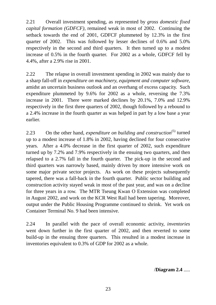2.21 Overall investment spending, as represented by *gross domestic fixed capital formation (GDFCF)*, remained weak in most of 2002. Continuing the setback towards the end of 2001, GDFCF plummeted by 12.3% in the first quarter of 2002. This was followed by lesser declines of 0.6% and 5.0% respectively in the second and third quarters. It then turned up to a modest increase of 0.5% in the fourth quarter. For 2002 as a whole, GDFCF fell by 4.4%, after a 2.9% rise in 2001.

2.22 The relapse in overall investment spending in 2002 was mainly due to a sharp fall-off in *expenditure on machinery, equipment and computer software*, amidst an uncertain business outlook and an overhang of excess capacity. Such expenditure plummeted by 9.6% for 2002 as a whole, reversing the 7.3% increase in 2001. There were marked declines by 20.1%, 7.0% and 12.9% respectively in the first three quarters of 2002, though followed by a rebound to a 2.4% increase in the fourth quarter as was helped in part by a low base a year earlier.

2.23 On the other hand, *expenditure on building and construction*<sup>(5)</sup> turned up to a modest increase of 1.8% in 2002, having declined for four consecutive years. After a 4.0% decrease in the first quarter of 2002, such expenditure turned up by 7.2% and 7.9% respectively in the ensuing two quarters, and then relapsed to a 2.7% fall in the fourth quarter. The pick-up in the second and third quarters was narrowly based, mainly driven by more intensive work on some major private sector projects. As work on these projects subsequently tapered, there was a fall-back in the fourth quarter. Public sector building and construction activity stayed weak in most of the past year, and was on a decline for three years in a row. The MTR Tseung Kwan O Extension was completed in August 2002, and work on the KCR West Rail had been tapering. Moreover, output under the Public Housing Programme continued to shrink. Yet work on Container Terminal No. 9 had been intensive.

2.24 In parallel with the pace of overall economic activity, *inventories* went down further in the first quarter of 2002, and then reverted to some build-up in the ensuing three quarters. This resulted in a modest increase in inventories equivalent to 0.3% of GDP for 2002 as a whole.

/**Diagram 2.4** .....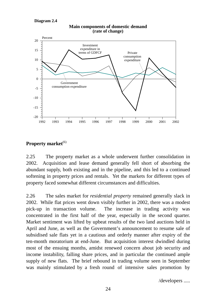#### **Diagram 2.4**



#### **Main components of domestic demand (rate of change)**

## Property market<sup>(6)</sup>

2.25 The property market as a whole underwent further consolidation in 2002. Acquisition and lease demand generally fell short of absorbing the abundant supply, both existing and in the pipeline, and this led to a continued softening in property prices and rentals. Yet the markets for different types of property faced somewhat different circumstances and difficulties.

2.26 The sales market for *residential property* remained generally slack in 2002. While flat prices went down visibly further in 2002, there was a modest pick-up in transaction volume. The increase in trading activity was concentrated in the first half of the year, especially in the second quarter. Market sentiment was lifted by upbeat results of the two land auctions held in April and June, as well as the Government's announcement to resume sale of subsidised sale flats yet in a cautious and orderly manner after expiry of the ten-month moratorium at end-June. But acquisition interest dwindled during most of the ensuing months, amidst renewed concern about job security and income instability, falling share prices, and in particular the continued ample supply of new flats. The brief rebound in trading volume seen in September was mainly stimulated by a fresh round of intensive sales promotion by

/developers .....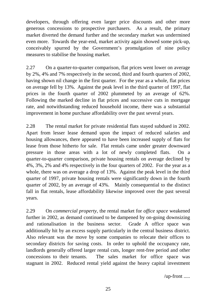developers, through offering even larger price discounts and other more generous concessions to prospective purchasers. As a result, the primary market diverted the demand further and the secondary market was undermined even more. Towards the year-end, market activity again showed some pick-up, conceivably spurred by the Government's promulgation of nine policy measures to stabilise the housing market.

2.27 On a quarter-to-quarter comparison, flat prices went lower on average by 2%, 4% and 7% respectively in the second, third and fourth quarters of 2002, having shown nil change in the first quarter. For the year as a whole, flat prices on average fell by 13%. Against the peak level in the third quarter of 1997, flat prices in the fourth quarter of 2002 plummeted by an average of 62%. Following the marked decline in flat prices and successive cuts in mortgage rate, and notwithstanding reduced household income, there was a substantial improvement in home purchase affordability over the past several years.

2.28 The rental market for private residential flats stayed subdued in 2002. Apart from lesser lease demand upon the impact of reduced salaries and housing allowances, there appeared to have been increased supply of flats for lease from those hitherto for sale. Flat rentals came under greater downward pressure in those areas with a lot of newly completed flats. On a quarter-to-quarter comparison, private housing rentals on average declined by 4%, 3%, 2% and 4% respectively in the four quarters of 2002. For the year as a whole, there was on average a drop of 13%. Against the peak level in the third quarter of 1997, private housing rentals were significantly down in the fourth quarter of 2002, by an average of 43%. Mainly consequential to the distinct fall in flat rentals, lease affordability likewise improved over the past several years.

2.29 On *commercial property*, the rental market for *office space* weakened further in 2002, as demand continued to be dampened by on-going downsizing and rationalisation in the business sector. Grade A office space was additionally hit by an excess supply particularly in the central business district. Also relevant was the move by some companies to relocate their offices to secondary districts for saving costs. In order to uphold the occupancy rate, landlords generally offered larger rental cuts, longer rent-free period and other concessions to their tenants. The sales market for office space was stagnant in 2002. Reduced rental yield against the heavy capital investment

/up-front .....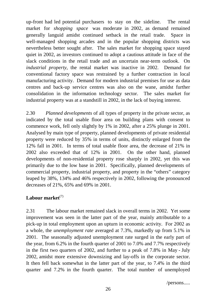up-front had led potential purchasers to stay on the sideline. The rental market for *shopping space* was moderate in 2002, as demand remained generally languid amidst continued setback in the retail trade. Space in well-managed shopping arcades and in the popular shopping districts was nevertheless better sought after. The sales market for shopping space stayed quiet in 2002, as investors continued to adopt a cautious attitude in face of the slack conditions in the retail trade and an uncertain near-term outlook. On *industrial property*, the rental market was inactive in 2002. Demand for conventional factory space was restrained by a further contraction in local manufacturing activity. Demand for modern industrial premises for use as data centres and back-up service centres was also on the wane, amidst further consolidation in the information technology sector. The sales market for industrial property was at a standstill in 2002, in the lack of buying interest.

2.30 *Planned developments* of all types of property in the private sector, as indicated by the total usable floor area on building plans with consent to commence work, fell only slightly by 1% in 2002, after a 25% plunge in 2001. Analysed by main type of property, planned developments of private residential property were reduced by 35% in terms of units, distinctly enlarged from the 12% fall in 2001. In terms of total usable floor area, the decrease of 21% in 2002 also exceeded that of 12% in 2001. On the other hand, planned developments of non-residential property rose sharply in 2002, yet this was primarily due to the low base in 2001. Specifically, planned developments of commercial property, industrial property, and property in the "others" category leaped by 38%, 134% and 46% respectively in 2002, following the pronounced decreases of 21%, 65% and 69% in 2001.

# Labour market<sup>(7)</sup>

2.31 The labour market remained slack in overall terms in 2002. Yet some improvement was seen in the latter part of the year, mainly attributable to a pick-up in total employment upon an upturn in economic activity. For 2002 as a whole, the *unemployment rate* averaged at 7.3%, markedly up from 5.1% in 2001. The seasonally adjusted unemployment rate surged in the early part of the year, from 6.2% in the fourth quarter of 2001 to 7.0% and 7.7% respectively in the first two quarters of 2002, and further to a peak of 7.8% in May - July 2002, amidst more extensive downsizing and lay-offs in the corporate sector. It then fell back somewhat in the latter part of the year, to 7.4% in the third quarter and 7.2% in the fourth quarter. The total number of unemployed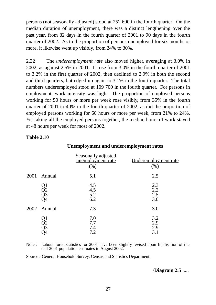persons (not seasonally adjusted) stood at 252 600 in the fourth quarter. On the median duration of unemployment, there was a distinct lengthening over the past year, from 82 days in the fourth quarter of 2001 to 90 days in the fourth quarter of 2002. As to the proportion of persons unemployed for six months or more, it likewise went up visibly, from 24% to 30%.

2.32 The *underemployment rate* also moved higher, averaging at 3.0% in 2002, as against 2.5% in 2001. It rose from 3.0% in the fourth quarter of 2001 to 3.2% in the first quarter of 2002, then declined to 2.9% in both the second and third quarters, but edged up again to 3.1% in the fourth quarter. The total numbers underemployed stood at 109 700 in the fourth quarter. For persons in employment, work intensity was high. The proportion of employed persons working for 50 hours or more per week rose visibly, from 35% in the fourth quarter of 2001 to 40% in the fourth quarter of 2002, as did the proportion of employed persons working for 60 hours or more per week, from 21% to 24%. Yet taking all the employed persons together, the median hours of work stayed at 48 hours per week for most of 2002.

## **Table 2.10**

|      |                                    | Seasonally adjusted<br>unemployment rate<br>(%) | Underemployment rate<br>(%) |
|------|------------------------------------|-------------------------------------------------|-----------------------------|
| 2001 | Annual                             | 5.1                                             | 2.5                         |
|      | Q1<br>Q2<br>Q3<br>Q4               | 4.5<br>4.5<br>5.2<br>6.2                        | 2.3<br>2.2<br>2.5<br>3.0    |
| 2002 | Annual                             | 7.3                                             | 3.0                         |
|      | $\frac{21}{02}$<br>$\frac{23}{03}$ | 7.0<br>7.7<br>7.4<br>7.2                        | 3.2<br>2.9<br>2.9<br>3.1    |

#### **Unemployment and underemployment rates**

Note : Labour force statistics for 2001 have been slightly revised upon finalisation of the end-2001 population estimates in August 2002.

Source : General Household Survey, Census and Statistics Department.

#### /**Diagram 2.5** .....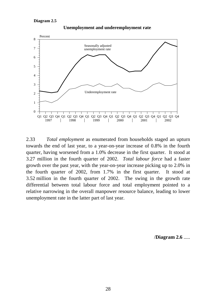#### **Diagram 2.5**



**Unemployment and underemployment rates**

2.33 *Total employment* as enumerated from households staged an upturn towards the end of last year, to a year-on-year increase of 0.8% in the fourth quarter, having worsened from a 1.0% decrease in the first quarter. It stood at 3.27 million in the fourth quarter of 2002. *Total labour force* had a faster growth over the past year, with the year-on-year increase picking up to 2.0% in the fourth quarter of 2002, from 1.7% in the first quarter. It stood at 3.52 million in the fourth quarter of 2002. The swing in the growth rate differential between total labour force and total employment pointed to a relative narrowing in the overall manpower resource balance, leading to lower unemployment rate in the latter part of last year.

/**Diagram 2.6** .....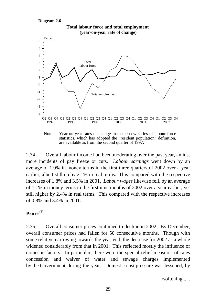#### **Diagram 2.6**



**Total labour force and total employment (year-on-year rate of change)**

Note : Year-on-year rates of change from the new series of labour force statistics, which has adopted the "resident population" definition, are available as from the second quarter of 1997.

2.34 Overall labour income had been moderating over the past year, amidst more incidents of pay freeze or cuts. *Labour earnings* went down by an average of 1.0% in money terms in the first three quarters of 2002 over a year earlier, albeit still up by 2.1% in real terms. This compared with the respective increases of 1.8% and 3.5% in 2001. *Labour wages* likewise fell, by an average of 1.1% in money terms in the first nine months of 2002 over a year earlier, yet still higher by 2.4% in real terms. This compared with the respective increases of 0.8% and 3.4% in 2001.

### **Prices**(8)

2.35 Overall consumer prices continued to decline in 2002. By December, overall consumer prices had fallen for 50 consecutive months. Though with some relative narrowing towards the year-end, the decrease for 2002 as a whole widened considerably from that in 2001. This reflected mostly the influence of domestic factors. In particular, there were the special relief measures of rates concession and waiver of water and sewage charges implemented by the Government during the year. Domestic cost pressure was lessened, by

/softening .....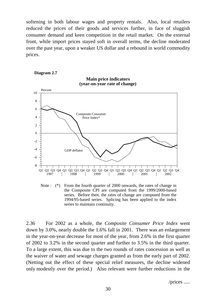softening in both labour wages and property rentals. Also, local retailers reduced the prices of their goods and services further, in face of sluggish consumer demand and keen competition in the retail market. On the external front, while import prices stayed soft in overall terms, the decline moderated over the past year, upon a weaker US dollar and a rebound in world commodity prices.





Note : (\*) From the fourth quarter of 2000 onwards, the rates of change in the Composite CPI are computed from the 1999/2000-based series. Before then, the rates of change are computed from the 1994/95-based series. Splicing has been applied to the index series to maintain continuity.

2.36 For 2002 as a whole, the *Composite Consumer Price Index* went down by 3.0%, nearly double the 1.6% fall in 2001. There was an enlargement in the year-on-year decrease for most of the year, from 2.6% in the first quarter of 2002 to 3.2% in the second quarter and further to 3.5% in the third quarter. To a large extent, this was due to the two rounds of rates concession as well as the waiver of water and sewage charges granted as from the early part of 2002. (Netting out the effect of these special relief measures, the decline widened only modestly over the period.) Also relevant were further reductions in the

/prices .....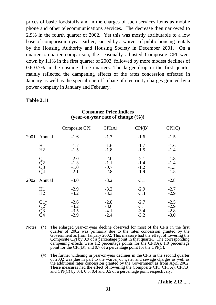prices of basic foodstuffs and in the charges of such services items as mobile phone and other telecommunications services. The decrease then narrowed to 2.9% in the fourth quarter of 2002. Yet this was mostly attributable to a low base of comparison a year earlier, caused by a waiver of public housing rentals by the Housing Authority and Housing Society in December 2001. On a quarter-to-quarter comparison, the seasonally adjusted Composite CPI went down by 1.1% in the first quarter of 2002, followed by more modest declines of 0.6-0.7% in the ensuing three quarters. The larger drop in the first quarter mainly reflected the dampening effects of the rates concession effected in January as well as the special one-off rebate of electricity charges granted by a power company in January and February.

## **Table 2.11**

|      |                        | <b>Composite CPI</b>                 | CPI(A)                               | CPI(B)                               | CPI(C)                               |
|------|------------------------|--------------------------------------|--------------------------------------|--------------------------------------|--------------------------------------|
| 2001 | Annual                 | $-1.6$                               | $-1.7$                               | $-1.6$                               | $-1.5$                               |
|      | H1<br>H2               | $-1.7$<br>$-1.5$                     | $-1.6$<br>$-1.8$                     | $-1.7$<br>$-1.5$                     | $-1.6$<br>$-1.4$                     |
|      | Q1<br>Q2<br>Q3<br>Q4   | $-2.0$<br>$-1.3$<br>$-1.0$<br>$-2.1$ | $-2.0$<br>$-1.1$<br>$-0.7$<br>$-2.8$ | $-2.1$<br>$-1.4$<br>$-1.2$<br>$-1.9$ | $-1.8$<br>$-1.4$<br>$-1.3$<br>$-1.5$ |
| 2002 | Annual                 | $-3.0$                               | $-3.2$                               | $-3.1$                               | $-2.8$                               |
|      | H1<br>H <sub>2</sub>   | $-2.9$<br>$-3.2$                     | $-3.2$<br>$-3.3$                     | $-2.9$<br>$-3.3$                     | $-2.7$<br>$-2.9$                     |
|      | Q1*<br>Q2*<br>Q3<br>Q4 | $-2.6$<br>$-3.2$<br>$-3.5$<br>$-2.9$ | $-2.8$<br>$-3.6$<br>$-4.1$<br>$-2.4$ | $-2.7$<br>$-3.1$<br>$-3.4$<br>$-3.2$ | $-2.5$<br>$-2.9$<br>$-2.8$<br>$-3.0$ |

### **Consumer Price Indices (year-on-year rate of change (%))**

- Notes : (\*) The enlarged year-on-year decline observed for most of the CPIs in the first quarter of 2002 was primarily due to the rates concession granted by the Government as from January 2002. This measure had the effect of lowering the Composite CPI by 0.9 of a percentage point in that quarter. The corresponding dampening effects were 1.2 percentage points for the CPI(A), 1.0 percentage point for the CPI(B), and 0.7 of a percentage point for the CPI(C).
	- (#) The further widening in year-on-year declines in the CPIs in the second quarter of 2002 was due in part to the waiver of water and sewage charges as well as the additional rates concession granted by the Government as from April 2002. These measures had the effect of lowering the Composite CPI, CPI(A), CPI(B) and CPI(C) by 0.4, 0.5, 0.4 and 0.5 of a percentage point respectively.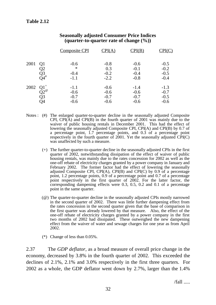|      |                                           | <b>Composite CPI</b>                 | $\text{CPI(A)}$                      |                                      |                                      |
|------|-------------------------------------------|--------------------------------------|--------------------------------------|--------------------------------------|--------------------------------------|
| 2001 | Q1<br>Q2<br>Q3<br>O4#                     | $-0.6$<br>$\ast$<br>$-0.4$<br>$-1.1$ | $-0.8$<br>0.3<br>$-0.2$<br>$-2.2$    | $-0.6$<br>$-0.1$<br>$-0.4$<br>$-0.8$ | $-0.5$<br>$-0.2$<br>$-0.5$<br>$-0.4$ |
| 2002 | $Q1^+$<br>$\tilde{Q}2^\omega$<br>Q3<br>O4 | $-1.1$<br>$-0.6$<br>$-0.7$<br>$-0.6$ | $-0.6$<br>$-0.6$<br>$-0.7$<br>$-0.6$ | $-1.4$<br>$-0.6$<br>$-0.7$<br>$-0.6$ | $-1.3$<br>$-0.7$<br>$-0.5$<br>$-0.6$ |

### **Seasonally adjusted Consumer Price Indices (quarter-to-quarter rate of change (%))**

- Notes : (#) The enlarged quarter-to-quarter decline in the seasonally adjusted Composite CPI, CPI(A) and CPI(B) in the fourth quarter of 2001 was mainly due to the waiver of public housing rentals in December 2001. This had the effect of lowering the seasonally adjusted Composite CPI, CPI(A) and CPI(B) by 0.7 of a percentage point, 1.7 percentage points, and 0.3 of a percentage point respectively in the fourth quarter of 2001. Yet the seasonally adjusted CPI(C) was unaffected by such a measure.
	- (+) The further quarter-to-quarter decline in the seasonally adjusted CPIs in the first quarter of 2002, notwithstanding dissipation of the effect of waiver of public housing rentals, was mainly due to the rates concession for 2002 as well as the one-off rebate of electricity charges granted by a power company in January and February 2002. The former factor had the effect of lowering the seasonally adjusted Composite CPI, CPI(A), CPI(B) and CPI(C) by 0.9 of a percentage point, 1.2 percentage points, 0.9 of a percentage point and 0.7 of a percentage point respectively in the first quarter of 2002. For the latter factor, the corresponding dampening effects were 0.3, 0.5, 0.2 and 0.1 of a percentage point in the same quarter.
	- (@) The quarter-to-quarter decline in the seasonally adjusted CPIs mostly narrowed in the second quarter of 2002. There was little further dampening effect from the rates concession in the second quarter given that the base of comparison in the first quarter was already lowered by that measure. Also, the effect of the one-off rebate of electricity charges granted by a power company in the first two months of 2002 had dissipated. These outweighed the new dampening effect from the waiver of water and sewage charges for one year as from April 2002.
	- (\*) Change of less than 0.05%.

2.37 The *GDP deflator*, as a broad measure of overall price change in the economy, decreased by 3.8% in the fourth quarter of 2002. This exceeded the declines of 2.1%, 2.1% and 3.0% respectively in the first three quarters. For 2002 as a whole, the GDP deflator went down by 2.7%, larger than the 1.4%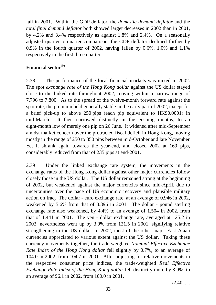fall in 2001. Within the GDP deflator, the *domestic demand deflator* and the *total final demand deflator* both showed larger decreases in 2002 than in 2001, by 4.2% and 3.4% respectively as against 1.8% and 2.4%. On a seasonally adjusted quarter-to-quarter comparison, the GDP deflator declined further by 0.9% in the fourth quarter of 2002, having fallen by 0.6%, 1.0% and 1.1% respectively in the first three quarters.

# Financial sector<sup>(9)</sup>

2.38 The performance of the local financial markets was mixed in 2002. The spot *exchange rate of the Hong Kong dollar* against the US dollar stayed close to the linked rate throughout 2002, moving within a narrow range of 7.796 to 7.800. As to the spread of the twelve-month forward rate against the spot rate, the premium held generally stable in the early part of 2002, except for a brief pick-up to above 250 pips (each pip equivalent to HK\$0.0001) in mid-March. It then narrowed distinctly in the ensuing months, to an eight-month low of merely one pip on 26 June. It widened after mid-September amidst market concern over the protracted fiscal deficit in Hong Kong, moving mostly in the range of 250 to 350 pips between mid-October and late November. Yet it shrank again towards the year-end, and closed 2002 at 169 pips, considerably reduced from that of 235 pips at end-2001.

2.39 Under the linked exchange rate system, the movements in the exchange rates of the Hong Kong dollar against other major currencies follow closely those in the US dollar. The US dollar remained strong at the beginning of 2002, but weakened against the major currencies since mid-April, due to uncertainties over the pace of US economic recovery and plausible military action on Iraq. The dollar - euro exchange rate, at an average of 0.946 in 2002, weakened by 5.6% from that of 0.896 in 2001. The dollar - pound sterling exchange rate also weakened, by 4.4% to an average of 1.504 in 2002, from that of 1.441 in 2001. The yen - dollar exchange rate, averaged at 125.2 in 2002, nevertheless went up by 3.0% from 121.5 in 2001, signifying relative strengthening in the US dollar. In 2002, most of the other major East Asian currencies appreciated to various extent against the US dollar. Taking these currency movements together, the trade-weighted *Nominal Effective Exchange Rate Index of the Hong Kong dollar fell slightly by 0.7%, to an average of* 104.0 in 2002, from 104.7 in 2001. After adjusting for relative movements in the respective consumer price indices, the trade-weighted *Real Effective Exchange Rate Index of the Hong Kong dollar* fell distinctly more by 3.9%, to an average of 96.1 in 2002, from 100.0 in 2001.

 $/2.40$  .....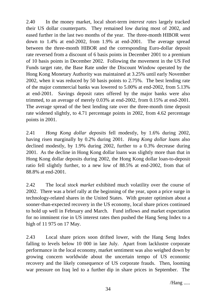2.40 In the money market, local short-term *interest rates* largely tracked their US dollar counterparts. They remained low during most of 2002, and eased further in the last two months of the year. The three-month HIBOR went down to 1.4% at end-2002, from 1.9% at end-2001. The average spread between the three-month HIBOR and the corresponding Euro-dollar deposit rate reversed from a discount of 6 basis points in December 2001 to a premium of 10 basis points in December 2002. Following the movement in the US Fed Funds target rate, the Base Rate under the Discount Window operated by the Hong Kong Monetary Authority was maintained at 3.25% until early November 2002, when it was reduced by 50 basis points to 2.75%. The best lending rate of the major commercial banks was lowered to 5.00% at end-2002, from 5.13% at end-2001. Savings deposit rates offered by the major banks were also trimmed, to an average of merely 0.03% at end-2002, from 0.15% at end-2001. The average spread of the best lending rate over the three-month time deposit rate widened slightly, to 4.71 percentage points in 2002, from 4.62 percentage points in 2001.

2.41 *Hong Kong dollar deposits* fell modestly, by 1.6% during 2002, having risen marginally by 0.2% during 2001. *Hong Kong dollar loans* also declined modestly, by 1.9% during 2002, further to a 0.3% decrease during 2001. As the decline in Hong Kong dollar loans was slightly more than that in Hong Kong dollar deposits during 2002, the Hong Kong dollar loan-to-deposit ratio fell slightly further, to a new low of 88.5% at end-2002, from that of 88.8% at end-2001.

2.42 The local *stock market* exhibited much volatility over the course of 2002. There was a brief rally at the beginning of the year, upon a price surge in technology-related shares in the United States. With greater optimism about a sooner-than-expected recovery in the US economy, local share prices continued to hold up well in February and March. Fund inflows and market expectation for no imminent rise in US interest rates then pushed the Hang Seng Index to a high of 11 975 on 17 May.

2.43 Local share prices soon drifted lower, with the Hang Seng Index falling to levels below 10 000 in late July. Apart from lacklustre corporate performance in the local economy, market sentiment was also weighed down by growing concern worldwide about the uncertain tempo of US economic recovery and the likely consequence of US corporate frauds. Then, looming war pressure on Iraq led to a further dip in share prices in September. The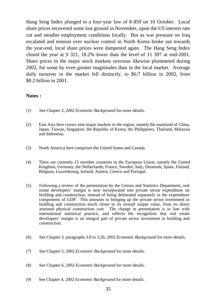Hang Seng Index plunged to a four-year low of 8 859 on 10 October. Local share prices recovered some lost ground in November, upon the US interest rate cut and steadier employment conditions locally. But as war pressure on Iraq escalated and tension over nuclear control in North Korea broke out towards the year-end, local share prices were dampened again. The Hang Seng Index closed the year at 9 321, 18.2% lower than the level of 11 397 at end-2001. Share prices in the major stock markets overseas likewise plummeted during 2002, for some by even greater magnitudes than in the local market. Average daily turnover in the market fell distinctly, to \$6.7 billion in 2002, from \$8.2 billion in 2001.

### **Notes :**

- (1) See Chapter 2, *2002 Economic Background* for more details.
- (2) East Asia here covers nine major markets in the region, namely the mainland of China, Japan, Taiwan, Singapore, the Republic of Korea, the Philippines, Thailand, Malaysia and Indonesia.
- (3) North America here comprises the United States and Canada.
- (4) There are currently 15 member countries in the European Union, namely the United Kingdom, Germany, the Netherlands, France, Sweden, Italy, Denmark, Spain, Finland, Belgium, Luxembourg, Ireland, Austria, Greece and Portugal.
- (5) Following a review of the presentation by the Census and Statistics Department, real estate developers' margin is now incorporated into private sector expenditure on building and construction, instead of being delineated separately in the expenditure components of GDP. This amounts to bringing up the private sector investment in building and construction much closer to its overall output value, from its direct assessed physical construction cost. The change in presentation is in line with international statistical practice, and reflects the recognition that real estate developers' margin is an integral part of private sector investment in building and construction.
- (6) See Chapter 3, paragraphs 3.8 to 3.20, *2002 Economic Background* for more details.
- (7) See Chapter 5, *2002 Economic Background* for more details.
- (8) See Chapter 6, *2002 Economic Background* for more details.
- (9) See Chapter 4, *2002 Economic Background* for more details.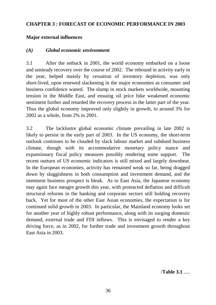## **CHAPTER 3 : FORECAST OF ECONOMIC PERFORMANCE IN 2003**

## **Major external influences**

## *(A) Global economic environment*

3.1 After the setback in 2001, the world economy embarked on a loose and unsteady recovery over the course of 2002. The rebound in activity early in the year, helped mainly by cessation of inventory depletion, was only short-lived, upon renewed slackening in the major economies as consumer and business confidence waned. The slump in stock markets worldwide, mounting tension in the Middle East, and ensuing oil price hike weakened economic sentiment further and retarded the recovery process in the latter part of the year. Thus the global economy improved only slightly in growth, to around 3% for 2002 as a whole, from 2% in 2001.

3.2 The lacklustre global economic climate prevailing in late 2002 is likely to persist in the early part of 2003. In the US economy, the short-term outlook continues to be clouded by slack labour market and subdued business climate, though with its accommodative monetary policy stance and expansionary fiscal policy measures possibly rendering some support. The recent outturn of US economic indicators is still mixed and largely downbeat. In the European economies, activity has remained weak so far, being dragged down by sluggishness in both consumption and investment demand, and the imminent business prospect is bleak. As to East Asia, the Japanese economy may again face meagre growth this year, with protracted deflation and difficult structural reforms in the banking and corporate sectors still holding recovery back. Yet for most of the other East Asian economies, the expectation is for continued solid growth in 2003. In particular, the Mainland economy looks set for another year of highly robust performance, along with its surging domestic demand, external trade and FDI inflows. This is envisaged to render a key driving force, as in 2002, for further trade and investment growth throughout East Asia in 2003.

/**Table 3.1** .....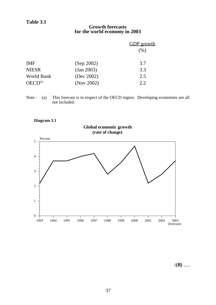#### **Growth forecasts for the world economy in 2003**

|                     |            | <b>GDP</b> growth |
|---------------------|------------|-------------------|
|                     |            | $(\%)$            |
| <b>IMF</b>          | (Sep 2002) | 3.7               |
| <b>NIESR</b>        | (Jan 2003) | 3.3               |
| World Bank          | (Dec 2002) | 2.5               |
| OECD <sup>(a)</sup> | (Nov 2002) | 2.2               |

Note : (a) This forecast is in respect of the OECD region. Developing economies are all not included.





/*(B)* .....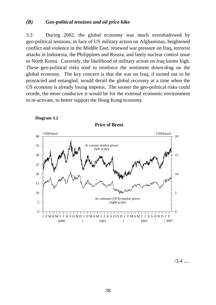### *(B) Geo-political tensions and oil price hike*

3.3 During 2002, the global economy was much overshadowed by geo-political tensions, in face of US military action on Afghanistan, heightened conflict and violence in the Middle East, renewed war pressure on Iraq, terrorist attacks in Indonesia, the Philippines and Russia, and lately nuclear control issue in North Korea. Currently, the likelihood of military action on Iraq looms high. These geo-political risks tend to reinforce the sentiment down-drag on the global economy. The key concern is that the war on Iraq, if turned out to be protracted and entangled, would derail the global recovery at a time when the US economy is already losing impetus. The sooner the geo-political risks could recede, the more conducive it would be for the external economic environment to re-activate, to better support the Hong Kong economy.



**Diagram 3.2**

 $/3.4$  .....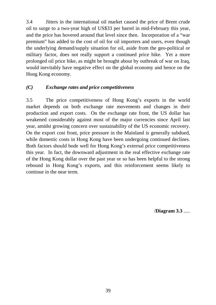3.4 Jitters in the international oil market caused the price of Brent crude oil to surge to a two-year high of US\$33 per barrel in mid-February this year, and the price has hovered around that level since then. Incorporation of a "war premium" has added to the cost of oil for oil importers and users, even though the underlying demand/supply situation for oil, aside from the geo-political or military factor, does not really support a continued price hike. Yet a more prolonged oil price hike, as might be brought about by outbreak of war on Iraq, would inevitably have negative effect on the global economy and hence on the Hong Kong economy.

## *(C) Exchange rates and price competitiveness*

3.5 The price competitiveness of Hong Kong's exports in the world market depends on both exchange rate movements and changes in their production and export costs. On the exchange rate front, the US dollar has weakened considerably against most of the major currencies since April last year, amidst growing concern over sustainability of the US economic recovery. On the export cost front, price pressure in the Mainland is generally subdued, while domestic costs in Hong Kong have been undergoing continued declines. Both factors should bode well for Hong Kong's external price competitiveness this year. In fact, the downward adjustment in the real effective exchange rate of the Hong Kong dollar over the past year or so has been helpful to the strong rebound in Hong Kong's exports, and this reinforcement seems likely to continue in the near term.

/**Diagram 3.3** .....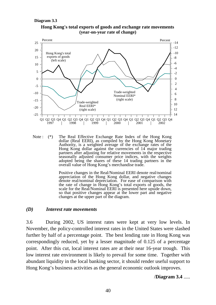#### **Diagram 3.3**





Note : (\*) The Real Effective Exchange Rate Index of the Hong Kong dollar (Real EERI), as compiled by the Hong Kong Monetary Authority, is a weighted average of the exchange rates of the Hong Kong dollar against the currencies of 14 major trading partners after adjusting for relative movements in the respective seasonally adjusted consumer price indices, with the weights adopted being the shares of these 14 trading partners in the overall value of Hong Kong's merchandise trade.

Positive changes in the Real/Nominal EERI denote real/nominal appreciation of the Hong Kong dollar, and negative changes denote real/nominal depreciation. For ease of comparison with the rate of change in Hong Kong's total exports of goods, the scale for the Real/Nominal EERI is presented here upside down, so that positive changes appear at the lower part and negative changes at the upper part of the diagram.

#### *(D) Interest rate movements*

3.6 During 2002, US interest rates were kept at very low levels. In November, the policy-controlled interest rates in the United States were slashed further by half of a percentage point. The best lending rate in Hong Kong was correspondingly reduced, yet by a lesser magnitude of 0.125 of a percentage point. After this cut, local interest rates are at their near 16-year trough. This low interest rate environment is likely to prevail for some time. Together with abundant liquidity in the local banking sector, it should render useful support to Hong Kong's business activities as the general economic outlook improves.

/**Diagram 3.4** .....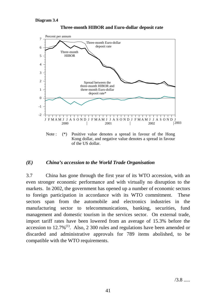

**Three-month HIBOR and Euro-dollar deposit rate**

Kong dollar, and negative value denotes a spread in favour of the US dollar.

## *(E) China's accession to the World Trade Organisation*

3.7 China has gone through the first year of its WTO accession, with an even stronger economic performance and with virtually no disruption to the markets. In 2002, the government has opened up a number of economic sectors to foreign participation in accordance with its WTO commitment. These sectors span from the automobile and electronics industries in the manufacturing sector to telecommunications, banking, securities, fund management and domestic tourism in the services sector. On external trade, import tariff rates have been lowered from an average of 15.3% before the accession to  $12.7\%$ <sup>(1)</sup>. Also, 2 300 rules and regulations have been amended or discarded and administrative approvals for 789 items abolished, to be compatible with the WTO requirements.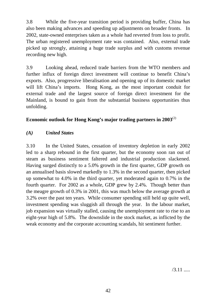3.8 While the five-year transition period is providing buffer, China has also been making advances and speeding up adjustments on broader fronts. In 2002, state-owned enterprises taken as a whole had reverted from loss to profit. The urban registered unemployment rate was contained. Also, external trade picked up strongly, attaining a huge trade surplus and with customs revenue recording new high.

3.9 Looking ahead, reduced trade barriers from the WTO members and further influx of foreign direct investment will continue to benefit China's exports. Also, progressive liberalisation and opening up of its domestic market will lift China's imports. Hong Kong, as the most important conduit for external trade and the largest source of foreign direct investment for the Mainland, is bound to gain from the substantial business opportunities thus unfolding.

## **Economic outlook for Hong Kong's major trading partners in 2003**(2)

# *(A) United States*

3.10 In the United States, cessation of inventory depletion in early 2002 led to a sharp rebound in the first quarter, but the economy soon ran out of steam as business sentiment faltered and industrial production slackened. Having surged distinctly to a 5.0% growth in the first quarter, GDP growth on an annualised basis slowed markedly to 1.3% in the second quarter, then picked up somewhat to 4.0% in the third quarter, yet moderated again to 0.7% in the fourth quarter. For 2002 as a whole, GDP grew by 2.4%. Though better than the meagre growth of 0.3% in 2001, this was much below the average growth at 3.2% over the past ten years. While consumer spending still held up quite well, investment spending was sluggish all through the year. In the labour market, job expansion was virtually stalled, causing the unemployment rate to rise to an eight-year high of 5.8%. The downslide in the stock market, as inflicted by the weak economy and the corporate accounting scandals, hit sentiment further.

 $/3.11$  .....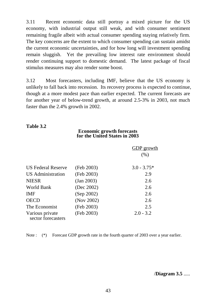3.11 Recent economic data still portray a mixed picture for the US economy, with industrial output still weak, and with consumer sentiment remaining fragile albeit with actual consumer spending staying relatively firm. The key concerns are the extent to which consumer spending can sustain amidst the current economic uncertainties, and for how long will investment spending remain sluggish. Yet the prevailing low interest rate environment should render continuing support to domestic demand. The latest package of fiscal stimulus measures may also render some boost.

3.12 Most forecasters, including IMF, believe that the US economy is unlikely to fall back into recession. Its recovery process is expected to continue, though at a more modest pace than earlier expected. The current forecasts are for another year of below-trend growth, at around 2.5-3% in 2003, not much faster than the 2.4% growth in 2002.

## **Table 3.2**

## **Economic growth forecasts for the United States in 2003**

|                                       |            | <b>GDP</b> growth<br>(% ) |
|---------------------------------------|------------|---------------------------|
| <b>US Federal Reserve</b>             | (Feb 2003) | $3.0 - 3.75*$             |
| US Administration                     | (Feb 2003) | 2.9                       |
| <b>NIESR</b>                          | (Jan 2003) | 2.6                       |
| World Bank                            | (Dec 2002) | 2.6                       |
| <b>IMF</b>                            | (Sep 2002) | 2.6                       |
| <b>OECD</b>                           | (Nov 2002) | 2.6                       |
| The Economist                         | (Feb 2003) | 2.5                       |
| Various private<br>sector forecasters | (Feb 2003) | $2.0 - 3.2$               |

Note : (\*) Forecast GDP growth rate in the fourth quarter of 2003 over a year earlier.

/**Diagram 3.5** .....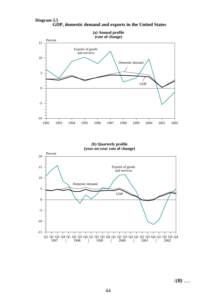

**GDP, domestic demand and exports in the United States Diagram 3.5**

**(b) Quarterly profile (year-on-year rate of change)**



/*(B)* .....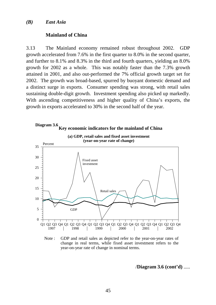#### *(B) East Asia*

#### **Mainland of China**

3.13 The Mainland economy remained robust throughout 2002. GDP growth accelerated from 7.6% in the first quarter to 8.0% in the second quarter, and further to 8.1% and 8.3% in the third and fourth quarters, yielding an 8.0% growth for 2002 as a whole. This was notably faster than the 7.3% growth attained in 2001, and also out-performed the 7% official growth target set for 2002. The growth was broad-based, spurred by buoyant domestic demand and a distinct surge in exports. Consumer spending was strong, with retail sales sustaining double-digit growth. Investment spending also picked up markedly. With ascending competitiveness and higher quality of China's exports, the growth in exports accelerated to 30% in the second half of the year.



Note : GDP and retail sales as depicted refer to the year-on-year rates of change in real terms, while fixed asset investment refers to the year-on-year rate of change in nominal terms.

/**Diagram 3.6 (cont'd)** .....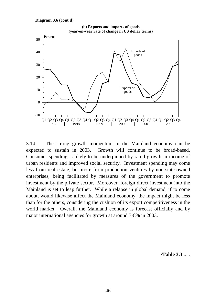

3.14 The strong growth momentum in the Mainland economy can be expected to sustain in 2003. Growth will continue to be broad-based. Consumer spending is likely to be underpinned by rapid growth in income of urban residents and improved social security. Investment spending may come less from real estate, but more from production ventures by non-state-owned enterprises, being facilitated by measures of the government to promote investment by the private sector. Moreover, foreign direct investment into the Mainland is set to leap further. While a relapse in global demand, if to come about, would likewise affect the Mainland economy, the impact might be less than for the others, considering the cushion of its export competitiveness in the world market. Overall, the Mainland economy is forecast officially and by major international agencies for growth at around 7-8% in 2003.

/**Table 3.3** .....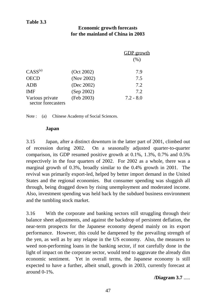## **Table 3.3**

## **Economic growth forecasts for the mainland of China in 2003**

|                                       |            | GDP growth<br>(% ) |
|---------------------------------------|------------|--------------------|
| $CASS^{(a)}$                          | (Oct 2002) | 7.9                |
| <b>OECD</b>                           | (Nov 2002) | 7.5                |
| <b>ADB</b>                            | (Dec 2002) | 7.2                |
| <b>IMF</b>                            | (Sep 2002) | 7.2                |
| Various private<br>sector forecasters | (Feb 2003) | $7.2 - 8.0$        |

Note : (a) Chinese Academy of Social Sciences.

### **Japan**

3.15 Japan, after a distinct downturn in the latter part of 2001, climbed out of recession during 2002. On a seasonally adjusted quarter-to-quarter comparison, its GDP resumed positive growth at 0.1%, 1.3%, 0.7% and 0.5% respectively in the four quarters of 2002. For 2002 as a whole, there was a marginal growth of 0.3%, broadly similar to the 0.4% growth in 2001. The revival was primarily export-led, helped by better import demand in the United States and the regional economies. But consumer spending was sluggish all through, being dragged down by rising unemployment and moderated income. Also, investment spending was held back by the subdued business environment and the tumbling stock market.

3.16 With the corporate and banking sectors still struggling through their balance sheet adjustments, and against the backdrop of persistent deflation, the near-term prospects for the Japanese economy depend mainly on its export performance. However, this could be dampened by the prevailing strength of the yen, as well as by any relapse in the US economy. Also, the measures to weed non-performing loans in the banking sector, if not carefully done in the light of impact on the corporate sector, would tend to aggravate the already dim economic sentiment. Yet in overall terms, the Japanese economy is still expected to have a further, albeit small, growth in 2003, currently forecast at around 0-1%.

## **/Diagram 3.7** .....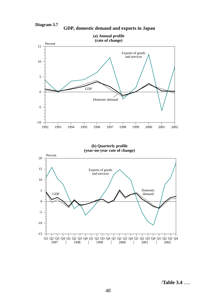

**GDP, domestic demand and exports in Japan**



**(b) Quarterly profile (year-on-year rate of change)**



/**Table 3.4** .....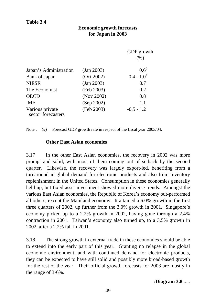## **Economic growth forecasts for Japan in 2003**

|                                       |            | <b>GDP</b> growth<br>(% ) |
|---------------------------------------|------------|---------------------------|
| Japan's Administration                | (Jan 2003) | $0.6^{*}$                 |
| <b>Bank of Japan</b>                  | (Oct 2002) | $0.4 - 1.0^{\#}$          |
| <b>NIESR</b>                          | (Jan 2003) | 0.7                       |
| The Economist                         | (Feb 2003) | 0.2                       |
| <b>OECD</b>                           | (Nov 2002) | 0.8                       |
| <b>IMF</b>                            | (Sep 2002) | 1.1                       |
| Various private<br>sector forecasters | (Feb 2003) | $-0.5 - 1.2$              |

Note : (#) Forecast GDP growth rate in respect of the fiscal year 2003/04.

## **Other East Asian economies**

3.17 In the other East Asian economies, the recovery in 2002 was more prompt and solid, with most of them coming out of setback by the second quarter. Likewise, the recovery was largely export-led, benefiting from a turnaround in global demand for electronic products and also from inventory replenishment in the United States. Consumption in these economies generally held up, but fixed asset investment showed more diverse trends. Amongst the various East Asian economies, the Republic of Korea's economy out-performed all others, except the Mainland economy. It attained a 6.0% growth in the first three quarters of 2002, up further from the 3.0% growth in 2001. Singapore's economy picked up to a 2.2% growth in 2002, having gone through a 2.4% contraction in 2001. Taiwan's economy also turned up, to a 3.5% growth in 2002, after a 2.2% fall in 2001.

3.18 The strong growth in external trade in these economies should be able to extend into the early part of this year. Granting no relapse in the global economic environment, and with continued demand for electronic products, they can be expected to have still solid and possibly more broad-based growth for the rest of the year. Their official growth forecasts for 2003 are mostly in the range of 3-6%.

/**Diagram 3.8** .....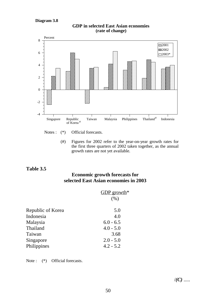**Diagram 3.8**



**GDP in selected East Asian economies (rate of change)**

Notes : (\*) Official forecasts.

(#) Figures for 2002 refer to the year-on-year growth rates for the first three quarters of 2002 taken together, as the annual growth rates are not yet available.

## **Table 3.5**

## **Economic growth forecasts for selected East Asian economies in 2003**

|                   | GDP growth <sup>*</sup> |
|-------------------|-------------------------|
|                   | (% )                    |
| Republic of Korea | 5.0                     |
| Indonesia         | 4.0                     |
| Malaysia          | $6.0 - 6.5$             |
| Thailand          | $4.0 - 5.0$             |
| Taiwan            | 3.68                    |
| Singapore         | $2.0 - 5.0$             |
| Philippines       | $4.2 - 5.2$             |
|                   |                         |

Note : (\*) Official forecasts.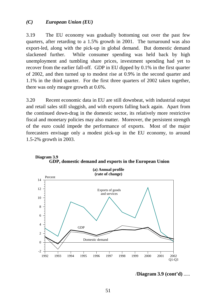#### *(C) European Union (EU)*

3.19 The EU economy was gradually bottoming out over the past few quarters, after retarding to a 1.5% growth in 2001. The turnaround was also export-led, along with the pick-up in global demand. But domestic demand slackened further. While consumer spending was held back by high unemployment and tumbling share prices, investment spending had yet to recover from the earlier fall-off. GDP in EU dipped by 0.1% in the first quarter of 2002, and then turned up to modest rise at 0.9% in the second quarter and 1.1% in the third quarter. For the first three quarters of 2002 taken together, there was only meagre growth at 0.6%.

3.20 Recent economic data in EU are still downbeat, with industrial output and retail sales still sluggish, and with exports falling back again. Apart from the continued down-drag in the domestic sector, its relatively more restrictive fiscal and monetary policies may also matter. Moreover, the persistent strength of the euro could impede the performance of exports. Most of the major forecasters envisage only a modest pick-up in the EU economy, to around 1.5-2% growth in 2003.





/**Diagram 3.9 (cont'd)** .....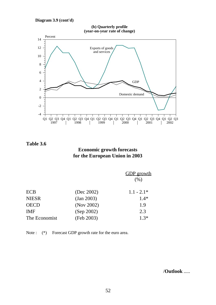**Diagram 3.9 (cont'd)**

**(b) Quarterly profile (year-on-year rate of change)**



**Table 3.6**

## **Economic growth forecasts for the European Union in 2003**

|            | <b>GDP</b> growth |
|------------|-------------------|
|            | (% )              |
|            | $1.1 - 2.1*$      |
| (Jan 2003) | $1.4*$            |
| (Nov 2002) | 1.9               |
| (Sep 2002) | 2.3               |
| (Feb 2003) | $1.3*$            |
|            | (Dec 2002)        |

Note :  $(*)$  Forecast GDP growth rate for the euro area.

/**Outlook** .....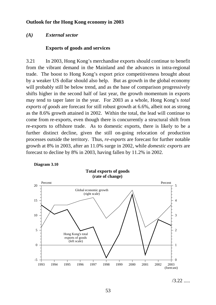### **Outlook for the Hong Kong economy in 2003**

#### *(A) External sector*

#### **Exports of goods and services**

3.21 In 2003, Hong Kong's merchandise exports should continue to benefit from the vibrant demand in the Mainland and the advances in intra-regional trade. The boost to Hong Kong's export price competitiveness brought about by a weaker US dollar should also help. But as growth in the global economy will probably still be below trend, and as the base of comparison progressively shifts higher in the second half of last year, the growth momentum in exports may tend to taper later in the year. For 2003 as a whole, Hong Kong's *total exports of goods* are forecast for still robust growth at 6.6%, albeit not as strong as the 8.6% growth attained in 2002. Within the total, the lead will continue to come from re-exports, even though there is concurrently a structural shift from re-exports to offshore trade. As to domestic exports, there is likely to be a further distinct decline, given the still on-going relocation of production processes outside the territory. Thus, *re-exports* are forecast for further notable growth at 8% in 2003, after an 11.0% surge in 2002, while *domestic exports* are forecast to decline by 8% in 2003, having fallen by 11.2% in 2002.





 $/3.22$  .....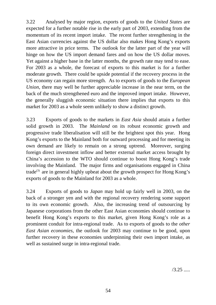3.22 Analysed by major region, exports of goods to the *United States* are expected for a further notable rise in the early part of 2003, extending from the momentum of its recent import intake. The recent further strengthening in the East Asian currencies against the US dollar also makes Hong Kong's exports more attractive in price terms. The outlook for the latter part of the year will hinge on how the US import demand fares and on how the US dollar moves. Yet against a higher base in the latter months, the growth rate may tend to ease. For 2003 as a whole, the forecast of exports to this market is for a further moderate growth. There could be upside potential if the recovery process in the US economy can regain more strength. As to exports of goods to the *European Union*, there may well be further appreciable increase in the near term, on the back of the much strengthened euro and the improved import intake. However, the generally sluggish economic situation there implies that exports to this market for 2003 as a whole seem unlikely to show a distinct growth.

3.23 Exports of goods to the markets in *East Asia* should attain a further solid growth in 2003. The *Mainland* on its robust economic growth and progressive trade liberalisation will still be the brightest spot this year. Hong Kong's exports to the Mainland both for outward processing and for meeting its own demand are likely to remain on a strong uptrend. Moreover, surging foreign direct investment inflow and better external market access brought by China's accession to the WTO should continue to boost Hong Kong's trade involving the Mainland. The major firms and organisations engaged in China trade<sup>(3)</sup> are in general highly upbeat about the growth prospect for Hong Kong's exports of goods to the Mainland for 2003 as a whole.

3.24 Exports of goods to *Japan* may hold up fairly well in 2003, on the back of a stronger yen and with the regional recovery rendering some support to its own economic growth. Also, the increasing trend of outsourcing by Japanese corporations from the other East Asian economies should continue to benefit Hong Kong's exports to this market, given Hong Kong's role as a prominent conduit for intra-regional trade. As to exports of goods to the *other East Asian economies*, the outlook for 2003 may continue to be good, upon further recovery in these economies underpinning their own import intake, as well as sustained surge in intra-regional trade.

 $/3.25$  .....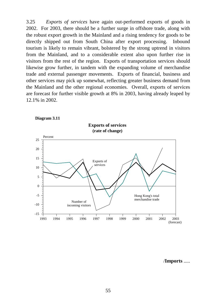3.25 *Exports of services* have again out-performed exports of goods in 2002. For 2003, there should be a further surge in offshore trade, along with the robust export growth in the Mainland and a rising tendency for goods to be directly shipped out from South China after export processing. Inbound tourism is likely to remain vibrant, bolstered by the strong uptrend in visitors from the Mainland, and to a considerable extent also upon further rise in visitors from the rest of the region. Exports of transportation services should likewise grow further, in tandem with the expanding volume of merchandise trade and external passenger movements. Exports of financial, business and other services may pick up somewhat, reflecting greater business demand from the Mainland and the other regional economies. Overall, exports of services are forecast for further visible growth at 8% in 2003, having already leaped by 12.1% in 2002.





/**Imports** .....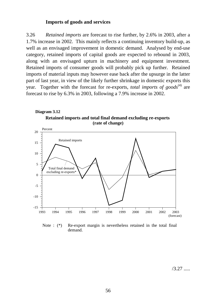### **Imports of goods and services**

3.26 *Retained imports* are forecast to rise further, by 2.6% in 2003, after a 1.7% increase in 2002. This mainly reflects a continuing inventory build-up, as well as an envisaged improvement in domestic demand. Analysed by end-use category, retained imports of capital goods are expected to rebound in 2003, along with an envisaged upturn in machinery and equipment investment. Retained imports of consumer goods will probably pick up further. Retained imports of material inputs may however ease back after the upsurge in the latter part of last year, in view of the likely further shrinkage in domestic exports this year. Together with the forecast for re-exports, *total imports of goods*<sup>(4)</sup> are forecast to rise by 6.3% in 2003, following a 7.9% increase in 2002.





Note : (\*) Re-export margin is nevertheless retained in the total final demand.

/3.27 .....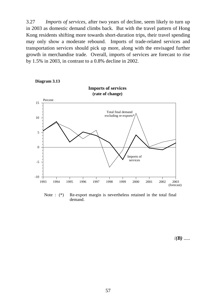3.27 *Imports of services*, after two years of decline, seem likely to turn up in 2003 as domestic demand climbs back. But with the travel pattern of Hong Kong residents shifting more towards short-duration trips, their travel spending may only show a moderate rebound. Imports of trade-related services and transportation services should pick up more, along with the envisaged further growth in merchandise trade. Overall, imports of services are forecast to rise by 1.5% in 2003, in contrast to a 0.8% decline in 2002.



**Diagram 3.13**

Note : (\*) Re-export margin is nevertheless retained in the total final demand.

/*(B)* .....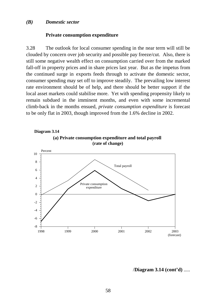#### *(B) Domestic sector*

#### **Private consumption expenditure**

3.28 The outlook for local consumer spending in the near term will still be clouded by concern over job security and possible pay freeze/cut. Also, there is still some negative wealth effect on consumption carried over from the marked fall-off in property prices and in share prices last year. But as the impetus from the continued surge in exports feeds through to activate the domestic sector, consumer spending may set off to improve steadily. The prevailing low interest rate environment should be of help, and there should be better support if the local asset markets could stabilise more. Yet with spending propensity likely to remain subdued in the imminent months, and even with some incremental climb-back in the months ensued, *private consumption expenditure* is forecast to be only flat in 2003, though improved from the 1.6% decline in 2002.



/**Diagram 3.14 (cont'd)** .....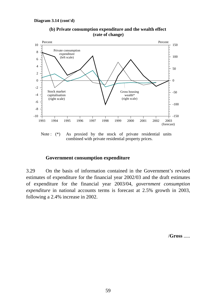

**(b) Private consumption expenditure and the wealth effect (rate of change)**

Note : (\*) As proxied by the stock of private residential units combined with private residential property prices.

### **Government consumption expenditure**

3.29 On the basis of information contained in the Government's revised estimates of expenditure for the financial year 2002/03 and the draft estimates of expenditure for the financial year 2003/04, *government consumption expenditure* in national accounts terms is forecast at 2.5% growth in 2003, following a 2.4% increase in 2002.

/**Gross** .....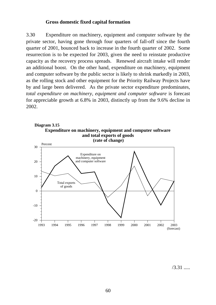### **Gross domestic fixed capital formation**

3.30 Expenditure on machinery, equipment and computer software by the private sector, having gone through four quarters of fall-off since the fourth quarter of 2001, bounced back to increase in the fourth quarter of 2002. Some resurrection is to be expected for 2003, given the need to reinstate productive capacity as the recovery process spreads. Renewed aircraft intake will render an additional boost. On the other hand, expenditure on machinery, equipment and computer software by the public sector is likely to shrink markedly in 2003, as the rolling stock and other equipment for the Priority Railway Projects have by and large been delivered. As the private sector expenditure predominates, *total expenditure on machinery, equipment and computer software* is forecast for appreciable growth at 6.8% in 2003, distinctly up from the 9.6% decline in 2002.



/3.31 .....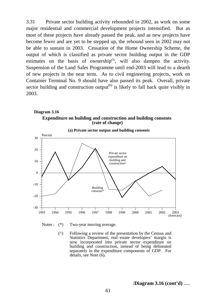3.31 Private sector building activity rebounded in 2002, as work on some major residential and commercial development projects intensified. But as most of these projects have already passed the peak, and as new projects have become fewer and are yet to be stepped up, the rebound seen in 2002 may not be able to sustain in 2003. Cessation of the Home Ownership Scheme, the output of which is classified as private sector building output in the GDP estimates on the basis of ownership<sup> $(5)$ </sup>, will also dampen the activity. Suspension of the Land Sales Programme until end-2003 will lead to a dearth of new projects in the near term. As to civil engineering projects, work on Container Terminal No. 9 should have also passed its peak. Overall, private sector building and construction output<sup> $(6)$ </sup> is likely to fall back quite visibly in 2003.

#### **Expenditure on building and construction and building consents Diagram 3.16 (rate of change)**



**(a) Private sector output and building consents**

Notes :  $(*)$  Two-year moving average.

 (^) Following a review of the presentation by the Census and Statistics Department, real estate developers' margin is now incorporated into private sector expenditure on building and construction, instead of being delineated separately in the expenditure components of GDP. For details, see Note (6).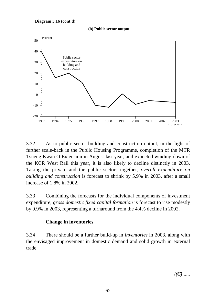



3.32 As to public sector building and construction output, in the light of further scale-back in the Public Housing Programme, completion of the MTR Tsueng Kwan O Extension in August last year, and expected winding down of the KCR West Rail this year, it is also likely to decline distinctly in 2003. Taking the private and the public sectors together, *overall expenditure on building and construction* is forecast to shrink by 5.9% in 2003, after a small increase of 1.8% in 2002.

3.33 Combining the forecasts for the individual components of investment expenditure, *gross domestic fixed capital formation* is forecast to rise modestly by 0.9% in 2003, representing a turnaround from the 4.4% decline in 2002.

## **Change in inventories**

3.34 There should be a further build-up in *inventories* in 2003, along with the envisaged improvement in domestic demand and solid growth in external trade.

 $\mathcal{U}(C)$  .....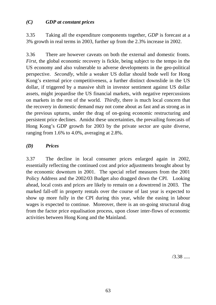## *(C) GDP at constant prices*

3.35 Taking all the expenditure components together, *GDP* is forecast at a 3% growth in real terms in 2003, further up from the 2.3% increase in 2002.

3.36 There are however caveats on both the external and domestic fronts. *First*, the global economic recovery is fickle, being subject to the tempo in the US economy and also vulnerable to adverse developments in the geo-political perspective. *Secondly*, while a weaker US dollar should bode well for Hong Kong's external price competitiveness, a further distinct downslide in the US dollar, if triggered by a massive shift in investor sentiment against US dollar assets, might jeopardise the US financial markets, with negative repercussions on markets in the rest of the world. *Thirdly*, there is much local concern that the recovery in domestic demand may not come about as fast and as strong as in the previous upturns, under the drag of on-going economic restructuring and persistent price declines. Amidst these uncertainties, the prevailing forecasts of Hong Kong's GDP growth for 2003 by the private sector are quite diverse, ranging from 1.6% to 4.0%, averaging at 2.8%.

## *(D) Prices*

3.37 The decline in local consumer prices enlarged again in 2002, essentially reflecting the continued cost and price adjustments brought about by the economic downturn in 2001. The special relief measures from the 2001 Policy Address and the 2002/03 Budget also dragged down the CPI. Looking ahead, local costs and prices are likely to remain on a downtrend in 2003. The marked fall-off in property rentals over the course of last year is expected to show up more fully in the CPI during this year, while the easing in labour wages is expected to continue. Moreover, there is an on-going structural drag from the factor price equalisation process, upon closer inter-flows of economic activities between Hong Kong and the Mainland.

/3.38 .....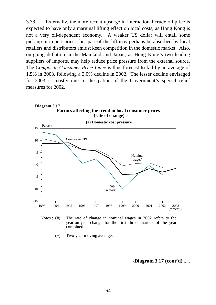3.38 Externally, the more recent upsurge in international crude oil price is expected to have only a marginal lifting effect on local costs, as Hong Kong is not a very oil-dependent economy. A weaker US dollar will entail some pick-up in import prices, but part of the lift may perhaps be absorbed by local retailers and distributors amidst keen competition in the domestic market. Also, on-going deflation in the Mainland and Japan, as Hong Kong's two leading suppliers of imports, may help reduce price pressure from the external source. The *Composite Consumer Price Index* is thus forecast to fall by an average of 1.5% in 2003, following a 3.0% decline in 2002. The lesser decline envisaged for 2003 is mostly due to dissipation of the Government's special relief measures for 2002.



**Diagram 3.17**



(+) Two-year moving average.

/**Diagram 3.17 (cont'd)** .....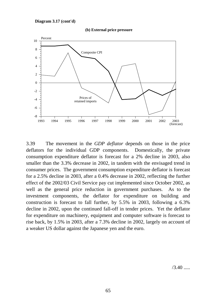#### **Diagram 3.17 (cont'd)**





3.39 The movement in the *GDP deflator* depends on those in the price deflators for the individual GDP components. Domestically, the private consumption expenditure deflator is forecast for a 2% decline in 2003, also smaller than the 3.3% decrease in 2002, in tandem with the envisaged trend in consumer prices. The government consumption expenditure deflator is forecast for a 2.5% decline in 2003, after a 0.4% decrease in 2002, reflecting the further effect of the 2002/03 Civil Service pay cut implemented since October 2002, as well as the general price reduction in government purchases. As to the investment components, the deflator for expenditure on building and construction is forecast to fall further, by 5.5% in 2003, following a 6.3% decline in 2002, upon the continued fall-off in tender prices. Yet the deflator for expenditure on machinery, equipment and computer software is forecast to rise back, by 1.5% in 2003, after a 7.3% decline in 2002, largely on account of a weaker US dollar against the Japanese yen and the euro.

 $/3.40$  .....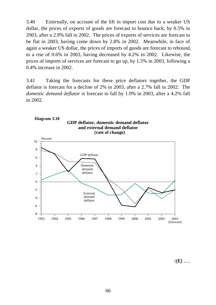3.40 Externally, on account of the lift in import cost due to a weaker US dollar, the prices of exports of goods are forecast to bounce back, by 0.5% in 2003, after a 2.9% fall in 2002. The prices of exports of services are forecast to be flat in 2003, having come down by 2.8% in 2002. Meanwhile, in face of again a weaker US dollar, the prices of imports of goods are forecast to rebound, to a rise of 0.6% in 2003, having decreased by 4.2% in 2002. Likewise, the prices of imports of services are forecast to go up, by 1.5% in 2003, following a 0.4% increase in 2002.

3.41 Taking the forecasts for these price deflators together, the GDP deflator is forecast for a decline of 2% in 2003, after a 2.7% fall in 2002. The *domestic demand deflator* is forecast to fall by 1.9% in 2003, after a 4.2% fall in 2002.



**GDP deflator, domestic demand deflator and external demand deflator Diagram 3.18**

/*(E)* .....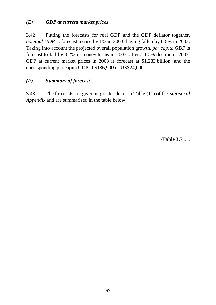# *(E) GDP at current market prices*

3.42 Putting the forecasts for real GDP and the GDP deflator together, *nominal GDP* is forecast to rise by 1% in 2003, having fallen by 0.6% in 2002. Taking into account the projected overall population growth, *per capita GDP* is forecast to fall by 0.2% in money terms in 2003, after a 1.5% decline in 2002. GDP at current market prices in 2003 is forecast at \$1,283 billion, and the corresponding per capita GDP at \$186,900 or US\$24,000.

# *(F) Summary of forecast*

3.43 The forecasts are given in greater detail in Table (11) of the *Statistical Appendix* and are summarised in the table below:

/**Table 3.7** .....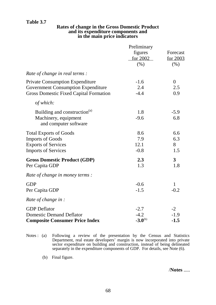# **Table 3.7**

## **Rates of change in the Gross Domestic Product and its expenditure components and in the main price indicators**

|                                               | Preliminary         |                      |  |  |
|-----------------------------------------------|---------------------|----------------------|--|--|
|                                               | figures<br>for 2002 | Forecast<br>for 2003 |  |  |
|                                               | (% )                | (% )                 |  |  |
| Rate of change in real terms :                |                     |                      |  |  |
| <b>Private Consumption Expenditure</b>        | $-1.6$              | $\overline{0}$       |  |  |
| <b>Government Consumption Expenditure</b>     | 2.4                 | 2.5                  |  |  |
| <b>Gross Domestic Fixed Capital Formation</b> | $-4.4$              | 0.9                  |  |  |
| of which:                                     |                     |                      |  |  |
| Building and construction <sup>(a)</sup>      | 1.8                 | $-5.9$               |  |  |
| Machinery, equipment                          | $-9.6$              | 6.8                  |  |  |
| and computer software                         |                     |                      |  |  |
| <b>Total Exports of Goods</b>                 | 8.6                 | 6.6                  |  |  |
| <b>Imports of Goods</b>                       | 7.9                 | 6.3                  |  |  |
| <b>Exports of Services</b>                    | 12.1                | 8                    |  |  |
| <b>Imports of Services</b>                    | $-0.8$              | 1.5                  |  |  |
| <b>Gross Domestic Product (GDP)</b>           | 2.3                 | $\overline{3}$       |  |  |
| Per Capita GDP                                | 1.3                 | 1.8                  |  |  |
| Rate of change in money terms:                |                     |                      |  |  |
| <b>GDP</b>                                    | $-0.6$              | $\mathbf{1}$         |  |  |
| Per Capita GDP                                | $-1.5$              | $-0.2$               |  |  |
| Rate of change in :                           |                     |                      |  |  |
| <b>GDP</b> Deflator                           | $-2.7$              | $-2$                 |  |  |
| <b>Domestic Demand Deflator</b>               | $-4.2$              | $-1.9$               |  |  |
| <b>Composite Consumer Price Index</b>         | $-3.0^{(b)}$        | $-1.5$               |  |  |

Notes : (a) Following a review of the presentation by the Census and Statistics Department, real estate developers' margin is now incorporated into private sector expenditure on building and construction, instead of being delineated separately in the expenditure components of GDP. For details, see Note (6).

(b) Final figure.

/**Notes** .....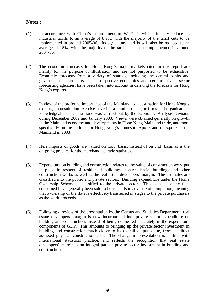## **Notes :**

- (1) In accordance with China's commitment to WTO, it will ultimately reduce its industrial tariffs to an average of 8.9%, with the majority of the tariff cuts to be implemented in around 2005-06. Its agricultural tariffs will also be reduced to an average of 15%, with the majority of the tariff cuts to be implemented in around 2004-06.
- (2) The economic forecasts for Hong Kong's major markets cited in this report are mainly for the purpose of illustration and are not purported to be exhaustive. Economic forecasts from a variety of sources, including the central banks and government departments in the respective economies and certain private sector forecasting agencies, have been taken into account in deriving the forecasts for Hong Kong's exports.
- (3) In view of the profound importance of the Mainland as a destination for Hong Kong's exports, a consultation exercise covering a number of major firms and organisations knowledgeable in China trade was carried out by the Economic Analysis Division during December 2002 and January 2003. Views were obtained generally on growth in the Mainland economy and developments in Hong Kong-Mainland trade, and more specifically on the outlook for Hong Kong's domestic exports and re-exports to the Mainland in 2003.
- (4) Here imports of goods are valued on f.o.b. basis, instead of on c.i.f. basis as is the on-going practice for the merchandise trade statistics.
- (5) Expenditure on building and construction relates to the value of construction work put in place in respect of residential buildings, non-residential buildings and other construction works as well as the real estate developers' margin. The estimates are classified into the public and private sectors. Building expenditure under the Home Ownership Scheme is classified to the private sector. This is because the flats concerned have generally been sold to households in advance of completion, meaning that ownership of the flats is effectively transferred in stages to the private purchasers as the work proceeds.
- (6) Following a review of the presentation by the Census and Statistics Department, real estate developers' margin is now incorporated into private sector expenditure on building and construction, instead of being delineated separately in the expenditure components of GDP. This amounts to bringing up the private sector investment in building and construction much closer to its overall output value, from its direct assessed physical construction cost. The change in presentation is in line with international statistical practice, and reflects the recognition that real estate developers' margin is an integral part of private sector investment in building and construction.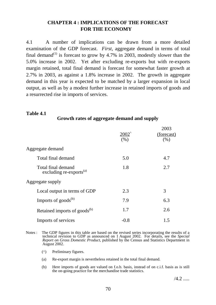# **CHAPTER 4 : IMPLICATIONS OF THE FORECAST FOR THE ECONOMY**

4.1 A number of implications can be drawn from a more detailed examination of the GDP forecast. *First*, aggregate demand in terms of total final demand<sup>(1)</sup> is forecast to grow by 4.7% in 2003, modestly slower than the 5.0% increase in 2002. Yet after excluding re-exports but with re-exports margin retained, total final demand is forecast for somewhat faster growth at 2.7% in 2003, as against a 1.8% increase in 2002. The growth in aggregate demand in this year is expected to be matched by a larger expansion in local output, as well as by a modest further increase in retained imports of goods and a resurrected rise in imports of services.

# **Table 4.1**

# **Growth rates of aggregate demand and supply**

|                                                           | $2002^{\degree}$<br>(% ) | 2003<br>(forecast)<br>(%) |
|-----------------------------------------------------------|--------------------------|---------------------------|
| Aggregate demand                                          |                          |                           |
| Total final demand                                        | 5.0                      | 4.7                       |
| Total final demand<br>excluding re-exports <sup>(a)</sup> | 1.8                      | 2.7                       |
| Aggregate supply                                          |                          |                           |
| Local output in terms of GDP                              | 2.3                      | 3                         |
| Imports of goods $^{(b)}$                                 | 7.9                      | 6.3                       |
| Retained imports of goods <sup>(b)</sup>                  | 1.7                      | 2.6                       |
| Imports of services                                       | $-0.8$                   | 1.5                       |

Notes : The GDP figures in this table are based on the revised series incorporating the results of a technical revision to GDP as announced on 1 August 2002. For details, see the *Special Report on Gross Domestic Product*, published by the Census and Statistics Department in August 2002.

- (^) Preliminary figures.
- (a) Re-export margin is nevertheless retained in the total final demand.
- (b) Here imports of goods are valued on f.o.b. basis, instead of on c.i.f. basis as is still the on-going practice for the merchandise trade statistics.

 $/4.2$  .....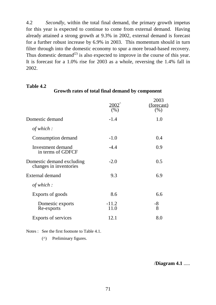4.2 *Secondly*, within the total final demand, the primary growth impetus for this year is expected to continue to come from external demand. Having already attained a strong growth at 9.3% in 2002, external demand is forecast for a further robust increase by 6.9% in 2003. This momentum should in turn filter through into the domestic economy to spur a more broad-based recovery. Thus domestic demand<sup>(2)</sup> is also expected to improve in the course of this year. It is forecast for a 1.0% rise for 2003 as a whole, reversing the 1.4% fall in 2002.

## **Table 4.2**

**Growth rates of total final demand by component**

|                                                     | $2002^{^{\prime}}$<br>(% ) | 2003<br>(forecast)<br>(% ) |
|-----------------------------------------------------|----------------------------|----------------------------|
| Domestic demand                                     | $-1.4$                     | 1.0                        |
| of which $:$                                        |                            |                            |
| Consumption demand                                  | $-1.0$                     | 0.4                        |
| Investment demand<br>in terms of GDFCF              | $-4.4$                     | 0.9                        |
| Domestic demand excluding<br>changes in inventories | $-2.0$                     | 0.5                        |
| External demand                                     | 9.3                        | 6.9                        |
| of which:                                           |                            |                            |
| Exports of goods                                    | 8.6                        | 6.6                        |
| Domestic exports<br>Re-exports                      | $-11.2$<br>11.0            | -8<br>8                    |
| Exports of services                                 | 12.1                       | 8.0                        |

Notes : See the first footnote to Table 4.1.

(^) Preliminary figures.

/**Diagram 4.1** .....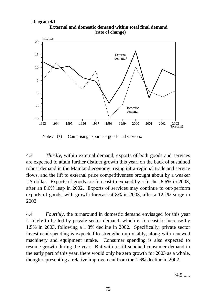**External and domestic demand within total final demand (rate of change)**



Note :  $(*)$  Comprising exports of goods and services.

4.3 *Thirdly*, within external demand, exports of both goods and services are expected to attain further distinct growth this year, on the back of sustained robust demand in the Mainland economy, rising intra-regional trade and service flows, and the lift to external price competitiveness brought about by a weaker US dollar. Exports of goods are forecast to expand by a further 6.6% in 2003, after an 8.6% leap in 2002. Exports of services may continue to out-perform exports of goods, with growth forecast at 8% in 2003, after a 12.1% surge in 2002.

4.4 *Fourthly*, the turnaround in domestic demand envisaged for this year is likely to be led by private sector demand, which is forecast to increase by 1.5% in 2003, following a 1.8% decline in 2002. Specifically, private sector investment spending is expected to strengthen up visibly, along with renewed machinery and equipment intake. Consumer spending is also expected to resume growth during the year. But with a still subdued consumer demand in the early part of this year, there would only be zero growth for 2003 as a whole, though representing a relative improvement from the 1.6% decline in 2002.

 $/4.5$  .....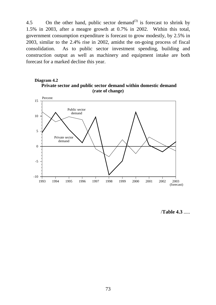4.5 On the other hand, public sector demand<sup>(3)</sup> is forecast to shrink by 1.5% in 2003, after a meagre growth at 0.7% in 2002. Within this total, government consumption expenditure is forecast to grow modestly, by 2.5% in 2003, similar to the 2.4% rise in 2002, amidst the on-going process of fiscal consolidation. As to public sector investment spending, building and construction output as well as machinery and equipment intake are both forecast for a marked decline this year.

## **Private sector and public sector demand within domestic demand (rate of change) Diagram 4.2**



/**Table 4.3** .....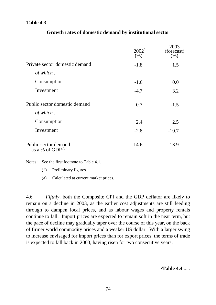# **Table 4.3**

|                                               | (%)    | 2003<br>(forecast)<br>$(\% )$ |
|-----------------------------------------------|--------|-------------------------------|
| Private sector domestic demand                | $-1.8$ | 1.5                           |
| of which:                                     |        |                               |
| Consumption                                   | $-1.6$ | 0.0                           |
| Investment                                    | $-4.7$ | 3.2                           |
| Public sector domestic demand                 | 0.7    | $-1.5$                        |
| of which:                                     |        |                               |
| Consumption                                   | 2.4    | 2.5                           |
| Investment                                    | $-2.8$ | $-10.7$                       |
| Public sector demand<br>as a % of $GDP^{(a)}$ | 14.6   | 13.9                          |

Notes : See the first footnote to Table 4.1.

(^) Preliminary figures.

(a) Calculated at current market prices.

4.6 *Fifthly*, both the Composite CPI and the GDP deflator are likely to remain on a decline in 2003, as the earlier cost adjustments are still feeding through to dampen local prices, and as labour wages and property rentals continue to fall. Import prices are expected to remain soft in the near term, but the pace of decline may gradually taper over the course of this year, on the back of firmer world commodity prices and a weaker US dollar. With a larger swing to increase envisaged for import prices than for export prices, the terms of trade is expected to fall back in 2003, having risen for two consecutive years.

/**Table 4.4** .....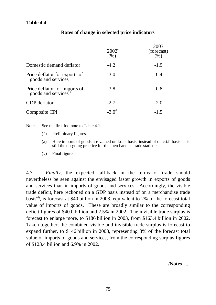|                                                                 | 2002<br>(% ) | 2003<br><u>(forecast)</u><br>(% ) |
|-----------------------------------------------------------------|--------------|-----------------------------------|
| Domestic demand deflator                                        | $-4.2$       | $-1.9$                            |
| Price deflator for exports of<br>goods and services             | $-3.0$       | 0.4                               |
| Price deflator for imports of goods and services <sup>(a)</sup> | $-3.8$       | 0.8                               |
| <b>GDP</b> deflator                                             | $-2.7$       | $-2.0$                            |
| Composite CPI                                                   | $-3.0^{\#}$  | $-1.5$                            |

# **Rates of change in selected price indicators**

Notes : See the first footnote to Table 4.1.

- (^) Preliminary figures.
- (a) Here imports of goods are valued on f.o.b. basis, instead of on c.i.f. basis as is still the on-going practice for the merchandise trade statistics.
- (#) Final figure.

4.7 *Finally,* the expected fall-back in the terms of trade should nevertheless be seen against the envisaged faster growth in exports of goods and services than in imports of goods and services. Accordingly, the visible trade deficit, here reckoned on a GDP basis instead of on a merchandise trade basis<sup>(4)</sup>, is forecast at \$40 billion in 2003, equivalent to 2% of the forecast total value of imports of goods. These are broadly similar to the corresponding deficit figures of \$40.0 billion and 2.5% in 2002. The invisible trade surplus is forecast to enlarge more, to \$186 billion in 2003, from \$163.4 billion in 2002. Taken together, the combined visible and invisible trade surplus is forecast to expand further, to \$146 billion in 2003, representing 8% of the forecast total value of imports of goods and services, from the corresponding surplus figures of \$123.4 billion and 6.9% in 2002.

/**Notes** .....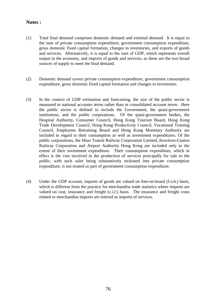# **Notes :**

- (1) Total final demand comprises domestic demand and external demand. It is equal to the sum of private consumption expenditure, government consumption expenditure, gross domestic fixed capital formation, changes in inventories, and exports of goods and services. Alternatively, it is equal to the sum of GDP, which represents overall output in the economy, and imports of goods and services, as these are the two broad sources of supply to meet the final demand.
- (2) Domestic demand covers private consumption expenditure, government consumption expenditure, gross domestic fixed capital formation and changes in inventories.
- (3) In the context of GDP estimation and forecasting, the size of the public sector is measured in national accounts terms rather than in consolidated account terms. Here the public sector is defined to include the Government, the quasi-government institutions, and the public corporations. Of the quasi-government bodies, the Hospital Authority, Consumer Council, Hong Kong Tourism Board, Hong Kong Trade Development Council, Hong Kong Productivity Council, Vocational Training Council, Employees Retraining Board and Hong Kong Monetary Authority are included in regard to their consumption as well as investment expenditures. Of the public corporations, the Mass Transit Railway Corporation Limited, Kowloon-Canton Railway Corporation and Airport Authority Hong Kong are included only to the extent of their investment expenditure. Their consumption expenditure, which in effect is the cost involved in the production of services principally for sale to the public, with such sales being substantively reckoned into private consumption expenditure, is not treated as part of government consumption expenditure.
- (4) Under the GDP account, imports of goods are valued on free-on-board (f.o.b.) basis, which is different from the practice for merchandise trade statistics where imports are valued on cost, insurance and freight (c.i.f.) basis. The insurance and freight costs related to merchandise imports are entered as imports of services.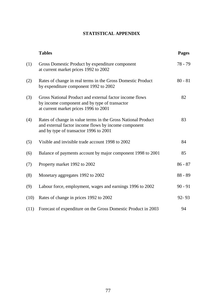# **STATISTICAL APPENDIX**

|      | <b>Tables</b>                                                                                                                                                  | <b>Pages</b> |
|------|----------------------------------------------------------------------------------------------------------------------------------------------------------------|--------------|
| (1)  | Gross Domestic Product by expenditure component<br>at current market prices 1992 to 2002                                                                       | 78 - 79      |
| (2)  | Rates of change in real terms in the Gross Domestic Product<br>by expenditure component 1992 to 2002                                                           | $80 - 81$    |
| (3)  | Gross National Product and external factor income flows<br>by income component and by type of transactor<br>at current market prices 1996 to 2001              | 82           |
| (4)  | Rates of change in value terms in the Gross National Product<br>and external factor income flows by income component<br>and by type of transactor 1996 to 2001 | 83           |
| (5)  | Visible and invisible trade account 1998 to 2002                                                                                                               | 84           |
| (6)  | Balance of payments account by major component 1998 to 2001                                                                                                    | 85           |
| (7)  | Property market 1992 to 2002                                                                                                                                   | $86 - 87$    |
| (8)  | Monetary aggregates 1992 to 2002                                                                                                                               | $88 - 89$    |
| (9)  | Labour force, employment, wages and earnings 1996 to 2002                                                                                                      | $90 - 91$    |
| (10) | Rates of change in prices 1992 to 2002                                                                                                                         | $92 - 93$    |
| (11) | Forecast of expenditure on the Gross Domestic Product in 2003                                                                                                  | 94           |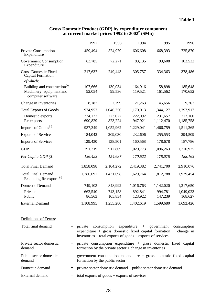### **Gross Domestic Product (GDP) by expenditure component at current market prices 1992 to 2002# (\$Mn)**

|                                                                                                        |     | 1992                                                                                                                                              | 1993               | 1994                                    | <u>1995</u>          | 1996                 |  |  |
|--------------------------------------------------------------------------------------------------------|-----|---------------------------------------------------------------------------------------------------------------------------------------------------|--------------------|-----------------------------------------|----------------------|----------------------|--|--|
| <b>Private Consumption</b><br>Expenditure                                                              |     | 459,494                                                                                                                                           | 524,979            | 606,608                                 | 668,393              | 725,870              |  |  |
| <b>Government Consumption</b><br>Expenditure                                                           |     | 63,785                                                                                                                                            | 72,271             | 83,135                                  | 93,608               | 103,532              |  |  |
| <b>Gross Domestic Fixed</b><br><b>Capital Formation</b>                                                |     | 217,637                                                                                                                                           | 249,443            | 305,757                                 | 334,363              | 378,486              |  |  |
| of which:<br>Building and construction <sup>(a)</sup><br>Machinery, equipment and<br>computer software |     | 107,666<br>92,054                                                                                                                                 | 130,034<br>99,536  | 164,916<br>119,521                      | 158,898<br>161,562   | 185,648<br>170,652   |  |  |
| Change in Inventories                                                                                  |     | 8,187                                                                                                                                             | 2,299              | 21,263                                  | 45,656               | 9,762                |  |  |
| <b>Total Exports of Goods</b>                                                                          |     | 924,953                                                                                                                                           | 1,046,250          | 1,170,013                               | 1,344,127            | 1,397,917            |  |  |
| Domestic exports<br>Re-exports                                                                         |     | 234,123<br>690,829                                                                                                                                | 223,027<br>823,224 | 222,092<br>947,921                      | 231,657<br>1,112,470 | 212,160<br>1,185,758 |  |  |
| Imports of Goods <sup>(b)</sup>                                                                        |     | 937,349                                                                                                                                           | 1,052,962          | 1,229,041                               | 1,466,759            | 1,511,365            |  |  |
| <b>Exports of Services</b>                                                                             |     | 184,042                                                                                                                                           | 209,030            | 232,606                                 | 255,553              | 294,509              |  |  |
| <b>Imports of Services</b>                                                                             |     | 129,430                                                                                                                                           | 138,501            | 160,568                                 | 178,678              | 187,786              |  |  |
| <b>GDP</b>                                                                                             |     | 791,319                                                                                                                                           | 912,809            | 1,029,773                               | 1,096,263            | 1,210,925            |  |  |
| Per Capita GDP $(\$)$                                                                                  |     | 136,423                                                                                                                                           | 154,687            | 170,622                                 | 178,078              | 188,163              |  |  |
| <b>Total Final Demand</b>                                                                              |     | 1,858,098                                                                                                                                         | 2,104,272          | 2,419,382                               | 2,741,700            | 2,910,076            |  |  |
| <b>Total Final Demand</b><br>Excluding Re-exports <sup>(c)</sup>                                       |     | 1,286,092                                                                                                                                         | 1,431,698          | 1,629,764                               | 1,812,788            | 1,929,454            |  |  |
| Domestic Demand                                                                                        |     | 749,103                                                                                                                                           | 848,992            | 1,016,763                               | 1,142,020            | 1,217,650            |  |  |
| Private<br>Public                                                                                      |     | 662,540<br>86,563                                                                                                                                 | 743,158<br>105,834 | 892,841<br>123,922                      | 994,781<br>147,239   | 1,049,023<br>168,627 |  |  |
| <b>External Demand</b>                                                                                 |     | 1,108,995                                                                                                                                         | 1,255,280          | 1,402,619                               | 1,599,680            | 1,692,426            |  |  |
| Definitions of Terms:                                                                                  |     |                                                                                                                                                   |                    |                                         |                      |                      |  |  |
| Total final demand                                                                                     |     | $=$ private<br>expenditure + gross domestic fixed capital formation + change in<br>inventories $+$ total exports of goods $+$ exports of services |                    | $\cos$ umption expenditure + government |                      | consumption          |  |  |
| Private sector domestic<br>demand                                                                      | $=$ | private consumption expenditure + gross domestic fixed capital<br>formation by the private sector $+$ change in inventories                       |                    |                                         |                      |                      |  |  |
| Public sector domestic<br>demand                                                                       | $=$ | government consumption expenditure $+$ gross domestic fixed capital<br>formation by the public sector                                             |                    |                                         |                      |                      |  |  |
| Domestic demand                                                                                        | $=$ | private sector domestic demand + public sector domestic demand                                                                                    |                    |                                         |                      |                      |  |  |
| External demand                                                                                        | $=$ | total exports of $goods + exports$ of services                                                                                                    |                    |                                         |                      |                      |  |  |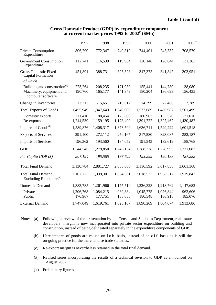#### **Gross Domestic Product (GDP) by expenditure component at current market prices 1992 to 2002# (\$Mn)**

|                                                                                           | 1997                 | 1998                 | 1999                 | 2000                 | 2001                 | $2002^+$             |
|-------------------------------------------------------------------------------------------|----------------------|----------------------|----------------------|----------------------|----------------------|----------------------|
| Private Consumption<br>Expenditure                                                        | 806,790              | 772,347              | 740,819              | 744,401              | 745,537              | 708,579              |
| <b>Government Consumption</b><br>Expenditure                                              | 112,741              | 116,539              | 119,984              | 120,148              | 128,844              | 131,363              |
| <b>Gross Domestic Fixed</b><br><b>Capital Formation</b><br>of which:                      | 451,891              | 388,731              | 325,328              | 347,375              | 341,847              | 303,951              |
| Building and construction <sup>(a)</sup><br>Machinery, equipment and<br>computer software | 223,264<br>190,760   | 208,235<br>165,177   | 171,930<br>141,349   | 155,441<br>180,204   | 144,780<br>186,693   | 138,080<br>156,435   |
| Change in Inventories                                                                     | 12,313               | $-15,651$            | $-10,612$            | 14,399               | $-2,466$             | 3,789                |
| <b>Total Exports of Goods</b>                                                             | 1,455,949            | 1,347,649            | 1,349,000            | 1,572,689            | 1,480,987            | 1,561,499            |
| Domestic exports<br>Re-exports                                                            | 211,410<br>1,244,539 | 188,454<br>1,159,195 | 170,600<br>1,178,400 | 180,967<br>1,391,722 | 153,520<br>1,327,467 | 131,016<br>1,430,482 |
| Imports of Goods <sup>(b)</sup>                                                           | 1,589,876            | 1,408,317            | 1,373,500            | 1,636,711            | 1,549,222            | 1,601,518            |
| <b>Exports of Services</b>                                                                | 291,100              | 272,112              | 279,167              | 317,580              | 323,087              | 352,187              |
| <b>Imports of Services</b>                                                                | 196,362              | 193,560              | 184,052              | 191,543              | 189,619              | 188,768              |
| <b>GDP</b>                                                                                | 1,344,546            | 1,279,850            | 1,246,134            | 1,288,338            | 1,278,995            | 1,271,082            |
| Per Capita GDP $(\$)$                                                                     | 207,194              | 195,585              | 188,622              | 193,299              | 190,188              | 187,282              |
| <b>Total Final Demand</b>                                                                 | 3,130,784            | 2,881,727            | 2,803,686            | 3,116,592            | 3,017,836            | 3,061,368            |
| <b>Total Final Demand</b><br>Excluding Re-exports <sup>(c)</sup>                          | 2,107,773            | 1,939,301            | 1,864,501            | 2,018,523            | 1,958,517            | 1,919,843            |
| <b>Domestic Demand</b>                                                                    | 1,383,735            | 1,261,966            | 1,175,519            | 1,226,323            | 1,213,762            | 1,147,682            |
| Private<br>Public                                                                         | 1,206,768<br>176,967 | 1,084,215<br>177,751 | 989,884<br>185,635   | 1,045,775<br>180,548 | 1,026,844<br>186,918 | 962,606<br>185,076   |
| <b>External Demand</b>                                                                    | 1,747,049            | 1,619,761            | 1,628,167            | 1,890,269            | 1,804,074            | 1,913,686            |

- Notes: (a) Following a review of the presentation by the Census and Statistics Department, real estate developers' margin is now incorporated into private sector expenditure on building and construction, instead of being delineated separately in the expenditure components of GDP.
	- (b) Here imports of goods are valued on f.o.b. basis, instead of on c.i.f. basis as is still the on-going practice for the merchandise trade statistics.
	- (c) Re-export margin is nevertheless retained in the total final demand.
	- (#) Revised series incorporating the results of a technical revision to GDP as announced on 1 August 2002.
	- (+) Preliminary figures.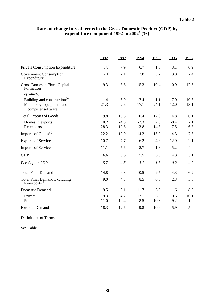## **Rates of change in real terms in the Gross Domestic Product (GDP) by expenditure component 1992 to 2002# (%)**

|                                                        | 1992          | 1993   | 1994   | 1995 | 1996   | 1997   |
|--------------------------------------------------------|---------------|--------|--------|------|--------|--------|
| Private Consumption Expenditure                        | $8.8^{\circ}$ | 7.9    | 6.7    | 1.5  | 3.1    | 6.9    |
| <b>Government Consumption</b><br>Expenditure           | $7.1^{\circ}$ | 2.1    | 3.8    | 3.2  | 3.8    | 2.4    |
| <b>Gross Domestic Fixed Capital</b><br>Formation       | 9.3           | 3.6    | 15.3   | 10.4 | 10.9   | 12.6   |
| of which:                                              |               |        |        |      |        |        |
| Building and construction <sup>(a)</sup>               | $-1.4$        | 6.0    | 17.4   | 1.1  | 7.0    | 10.5   |
| Machinery, equipment and<br>computer software          | 21.3          | 2.6    | 17.1   | 24.1 | 12.0   | 13.1   |
| <b>Total Exports of Goods</b>                          | 19.8          | 13.5   | 10.4   | 12.0 | 4.8    | 6.1    |
| Domestic exports                                       | 0.2           | $-4.5$ | $-2.3$ | 2.0  | $-8.4$ | 2.1    |
| Re-exports                                             | 28.3          | 19.6   | 13.8   | 14.3 | 7.5    | 6.8    |
| Imports of Goods <sup>(b)</sup>                        | 22.2          | 12.9   | 14.2   | 13.9 | 4.3    | 7.3    |
| <b>Exports of Services</b>                             | 10.7          | 7.7    | 6.2    | 4.3  | 12.9   | $-2.1$ |
| <b>Imports of Services</b>                             | 11.1          | 5.6    | 8.7    | 1.8  | 5.2    | 4.0    |
| <b>GDP</b>                                             | 6.6           | 6.3    | 5.5    | 3.9  | 4.3    | 5.1    |
| Per Capita GDP                                         | 5.7           | 4.5    | 3.1    | 1.8  | $-0.2$ | 4.2    |
| <b>Total Final Demand</b>                              | 14.8          | 9.8    | 10.5   | 9.5  | 4.3    | 6.2    |
| <b>Total Final Demand Excluding</b><br>$Re-exports(c)$ | 9.0           | 4.8    | 8.5    | 6.5  | 2.3    | 5.8    |
| <b>Domestic Demand</b>                                 | 9.5           | 5.1    | 11.7   | 6.9  | 1.6    | 8.6    |
| Private                                                | 9.3           | 4.2    | 12.1   | 6.5  | 0.5    | 10.1   |
| Public                                                 | 11.0          | 12.4   | 8.5    | 10.3 | 9.2    | $-1.0$ |
| <b>External Demand</b>                                 | 18.3          | 12.6   | 9.8    | 10.9 | 5.9    | 5.0    |

Definitions of Terms:

See Table 1.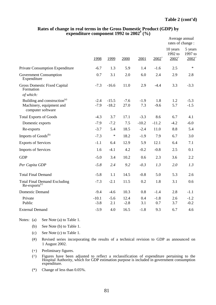|                                                                                                        |                   |                    |                |               |               | Average annual<br>rates of change: |                                |  |
|--------------------------------------------------------------------------------------------------------|-------------------|--------------------|----------------|---------------|---------------|------------------------------------|--------------------------------|--|
|                                                                                                        | 1998              | 1999               | 2000           | 2001          | $2002^+$      | 10 years<br>1992 to<br>$2002^+$    | 5 years<br>1997 to<br>$2002^+$ |  |
| Private Consumption Expenditure                                                                        | $-6.7$            | 1.3                | 5.9            | 1.4           | $-1.6$        | 2.5                                | $\ast$                         |  |
| <b>Government Consumption</b><br>Expenditure                                                           | 0.7               | 3.1                | 2.0            | 6.0           | 2.4           | 2.9                                | 2.8                            |  |
| <b>Gross Domestic Fixed Capital</b><br>Formation                                                       | $-7.3$            | $-16.6$            | 11.0           | 2.9           | $-4.4$        | 3.3                                | $-3.3$                         |  |
| of which:<br>Building and construction <sup>(a)</sup><br>Machinery, equipment and<br>computer software | $-2.4$<br>$-7.9$  | $-15.5$<br>$-18.2$ | $-7.6$<br>27.0 | $-1.9$<br>7.3 | 1.8<br>$-9.6$ | 1.2<br>5.7                         | $-5.3$<br>$-1.5$               |  |
| <b>Total Exports of Goods</b>                                                                          | $-4.3$            | 3.7                | 17.1           | $-3.3$        | 8.6           | 6.7                                | 4.1                            |  |
| Domestic exports                                                                                       | $-7.9$            | $-7.2$             | 7.5            | $-10.2$       | $-11.2$       | $-4.2$                             | $-6.0$                         |  |
| Re-exports                                                                                             | $-3.7$            | 5.4                | 18.5           | $-2.4$        | 11.0          | 8.8                                | 5.4                            |  |
| Imports of Goods <sup>(b)</sup>                                                                        | $-7.3$            | $\ast$             | 18.2           | $-1.9$        | 7.9           | 6.7                                | 3.0                            |  |
| <b>Exports of Services</b>                                                                             | $-1.1$            | 6.4                | 12.9           | 5.9           | 12.1          | 6.4                                | 7.1                            |  |
| <b>Imports of Services</b>                                                                             | 1.6               | $-4.1$             | 4.2            | $-0.2$        | $-0.8$        | 2.5                                | 0.1                            |  |
| <b>GDP</b>                                                                                             | $-5.0$            | 3.4                | 10.2           | 0.6           | 2.3           | 3.6                                | 2.2                            |  |
| Per Capita GDP                                                                                         | $-5.8$            | 2.4                | 9.2            | $-0.3$        | 1.3           | 2.0                                | 1.3                            |  |
| <b>Total Final Demand</b>                                                                              | $-5.8$            | 1.1                | 14.5           | $-0.8$        | 5.0           | 5.3                                | 2.6                            |  |
| Total Final Demand Excluding<br>Re-exports <sup>(c)</sup>                                              | $-7.3$            | $-2.1$             | 11.5           | 0.2           | 1.8           | 3.1                                | 0.6                            |  |
| <b>Domestic Demand</b>                                                                                 | $-9.4$            | $-4.6$             | 10.3           | 0.8           | $-1.4$        | 2.8                                | $-1.1$                         |  |
| Private<br>Public                                                                                      | $-10.1$<br>$-3.8$ | $-5.6$<br>2.1      | 12.4<br>$-2.8$ | 0.4<br>3.1    | $-1.8$<br>0.7 | 2.6<br>3.7                         | $-1.2$<br>$-0.2$               |  |
| <b>External Demand</b>                                                                                 | $-3.9$            | 4.0                | 16.5           | $-1.8$        | 9.3           | 6.7                                | 4.6                            |  |

### **Rates of change in real terms in the Gross Domestic Product (GDP) by expenditure component 1992 to 2002# (%)**

Notes: (a) See Note (a) to Table 1.

- (b) See Note (b) to Table 1.
- (c) See Note (c) to Table 1.
- (#) Revised series incorporating the results of a technical revision to GDP as announced on 1 August 2002.
- (+) Preliminary figures.
- (^) Figures have been adjusted to reflect a reclassification of expenditure pertaining to the Hospital Authority, which for GDP estimation purpose is included in government consumption expenditure.
- (\*) Change of less than 0.05%.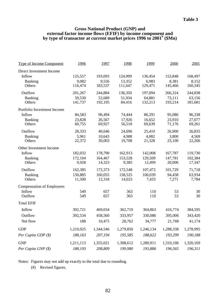#### **Gross National Product (GNP) and external factor income flows (EFIF) by income component and by type of transactor at current market prices 1996 to 2001# (\$Mn)**

| <b>Type of Income Component</b>  | 1996      | 1997      | 1998      | 1999      | 2000      | 2001      |
|----------------------------------|-----------|-----------|-----------|-----------|-----------|-----------|
| Direct Investment Income         |           |           |           |           |           |           |
| Inflow                           | 125,557   | 193,093   | 124,999   | 136,454   | 153,848   | 168,497   |
| Banking                          | 9,082     | 9,556     | 13,352    | 6,983     | 8,381     | 8,152     |
| Others                           | 116,474   | 183,537   | 111,647   | 129,471   | 145,466   | 160,345   |
| Outflow                          | 201,267   | 244,884   | 136,350   | 197,094   | 266,324   | 244,838   |
| <b>Banking</b>                   | 59,530    | 52,689    | 51,934    | 64,881    | 73,111    | 63,156    |
| Others                           | 141,737   | 192,195   | 84,416    | 132,213   | 193,214   | 181,681   |
| Portfolio Investment Income      |           |           |           |           |           |           |
| Inflow                           | 84,583    | 96,494    | 74,444    | 86,291    | 95,086    | 96,338    |
| <b>Banking</b>                   | 23,828    | 26,567    | 17,926    | 16,652    | 23,910    | 27,077    |
| Others                           | 60,755    | 69,927    | 56,518    | 69,639    | 71,176    | 69,261    |
| Outflow                          | 28,333    | 40,646    | 24,696    | 25,410    | 26,900    | 26,835    |
| Banking                          | 5,961     | 10,643    | 4,988     | 4,082     | 3,800     | 4,569     |
| Others                           | 22,372    | 30,003    | 19,708    | 21,328    | 23,100    | 22,266    |
| Other Investment Income          |           |           |           |           |           |           |
| Inflow                           | 182,032   | 178,790   | 162,913   | 142,008   | 167,787   | 119,730   |
| <b>Banking</b>                   | 172,104   | 164,467   | 153,528   | 129,509   | 147,781   | 102,384   |
| Others                           | 9,928     | 14,323    | 9,385     | 12,499    | 20,006    | 17,347    |
| Outflow                          | 162,385   | 172,373   | 172,548   | 107,472   | 101,729   | 71,718    |
| <b>Banking</b>                   | 150,885   | 160,055   | 158,525   | 100,039   | 94,458    | 63,934    |
| Others                           | 11,500    | 12,318    | 14,023    | 7,433     | 7,271     | 7,784     |
| <b>Compensation of Employees</b> |           |           |           |           |           |           |
| Inflow                           | 549       | 657       | 363       | 110       | 53        | 30        |
| Outflow                          | 549       | 657       | 363       | 110       | 53        | 30        |
| <b>Total EFIF</b>                |           |           |           |           |           |           |
| Inflow                           | 392,721   | 469,034   | 362,719   | 364,863   | 416,774   | 384,595   |
| Outflow                          | 392,534   | 458,560   | 333,957   | 330,086   | 395,006   | 343,420   |
| Net flow                         | 188       | 10,475    | 28,762    | 34,777    | 21,768    | 41,174    |
| <b>GDP</b>                       | 1,210,925 | 1,344,546 | 1,279,850 | 1,246,134 | 1,288,338 | 1,278,995 |
| Per Capita GDP (\$)              | 188,163   | 207,194   | 195,585   | 188,622   | 193,299   | 190,188   |
| <b>GNP</b>                       | 1,211,113 | 1,355,021 | 1,308,612 | 1,280,911 | 1,310,106 | 1,320,169 |
| Per Capita GNP (\$)              | 188,193   | 208,809   | 199,980   | 193,886   | 196,565   | 196,311   |
|                                  |           |           |           |           |           |           |

Notes: Figures may not add up exactly to the total due to rounding.

(#) Revised figures.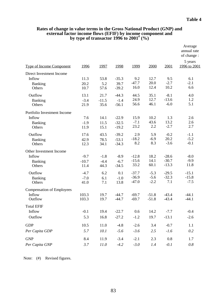|                                                            |                           |                          |                               |                               |                            |                               | Average<br>annual rate<br>of change: |
|------------------------------------------------------------|---------------------------|--------------------------|-------------------------------|-------------------------------|----------------------------|-------------------------------|--------------------------------------|
| <b>Type of Income Component</b>                            | 1996                      | 1997                     | 1998                          | 1999                          | 2000                       | 2001                          | 5 years<br>1996 to 2001              |
| Direct Investment Income<br>Inflow<br>Banking<br>Others    | 11.3<br>20.2<br>10.7      | 53.8<br>5.2<br>57.6      | $-35.3$<br>39.7<br>$-39.2$    | 9.2<br>$-47.7$<br>16.0        | 12.7<br>20.0<br>12.4       | 9.5<br>$-2.7$<br>10.2         | 6.1<br>$-2.1$<br>6.6                 |
| Outflow<br>Banking<br>Others                               | 13.1<br>$-3.4$<br>21.9    | 21.7<br>$-11.5$<br>35.6  | $-44.3$<br>$-1.4$<br>$-56.1$  | 44.5<br>24.9<br>56.6          | 35.1<br>12.7<br>46.1       | $-8.1$<br>$-13.6$<br>$-6.0$   | 4.0<br>1.2<br>5.1                    |
| Portfolio Investment Income<br>Inflow<br>Banking<br>Others | 7.6<br>$-1.9$<br>11.9     | 14.1<br>11.5<br>15.1     | $-22.9$<br>$-32.5$<br>$-19.2$ | 15.9<br>$-7.1$<br>23.2        | 10.2<br>43.6<br>2.2        | 1.3<br>13.2<br>$-2.7$         | 2.6<br>2.6<br>2.7                    |
| Outflow<br>Banking<br>Others                               | 17.6<br>42.9<br>12.3      | 43.5<br>78.5<br>34.1     | $-39.2$<br>$-53.1$<br>$-34.3$ | 2.9<br>$-18.2$<br>8.2         | 5.9<br>$-6.9$<br>8.3       | $-0.2$<br>20.2<br>$-3.6$      | $-1.1$<br>$-5.2$<br>$-0.1$           |
| Other Investment Income<br>Inflow<br>Banking<br>Others     | $-9.7$<br>$-10.7$<br>11.4 | $-1.8$<br>$-4.4$<br>44.3 | $-8.9$<br>$-6.7$<br>$-34.5$   | $-12.8$<br>$-15.6$<br>33.2    | 18.2<br>14.1<br>60.1       | $-28.6$<br>$-30.7$<br>$-13.3$ | $-8.0$<br>$-9.9$<br>11.8             |
| Outflow<br>Banking<br>Others                               | $-4.7$<br>$-7.0$<br>41.0  | 6.2<br>6.1<br>7.1        | 0.1<br>$-1.0$<br>13.8         | $-37.7$<br>$-36.9$<br>$-47.0$ | $-5.3$<br>$-5.6$<br>$-2.2$ | $-29.5$<br>$-32.3$<br>7.1     | $-15.1$<br>$-15.8$<br>$-7.5$         |
| <b>Compensation of Employees</b><br>Inflow<br>Outflow      | 103.3<br>103.3            | 19.7<br>19.7             | $-44.7$<br>$-44.7$            | $-69.7$<br>$-69.7$            | $-51.8$<br>$-51.8$         | $-43.4$<br>$-43.4$            | $-44.1$<br>$-44.1$                   |
| <b>Total EFIF</b><br>Inflow<br>Outflow                     | $-0.1$<br>5.3             | 19.4<br>16.8             | $-22.7$<br>$-27.2$            | 0.6<br>$-1.2$                 | 14.2<br>19.7               | $-7.7$<br>$-13.1$             | $-0.4$<br>$-2.6$                     |
| <b>GDP</b><br>Per Capita GDP                               | 10.5<br>5.7               | 11.0<br>10.1             | $-4.8$<br>$-5.6$              | $-2.6$<br>$-3.6$              | 3.4<br>2.5                 | $-0.7$<br>$-1.6$              | 1.1<br>0.2                           |
| <b>GNP</b><br>Per Capita GNP                               | 8.4<br>3.7                | 11.9<br>11.0             | $-3.4$<br>$-4.2$              | $-2.1$<br>$-3.0$              | 2.3<br>1.4                 | 0.8<br>$-0.1$                 | 1.7<br>0.8                           |

## **Rates of change in value terms in the Gross National Product (GNP) and external factor income flows (EFIF) by income component and by type of transactor 1996 to 2001# (%)**

Note: (#) Revised figures.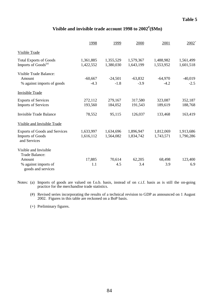# **Visible and invisible trade account 1998 to 2002# (\$Mn)**

|                                            | 1998      | 1999      | 2000      | 2001      | $2002^+$  |
|--------------------------------------------|-----------|-----------|-----------|-----------|-----------|
| <b>Visible Trade</b>                       |           |           |           |           |           |
| <b>Total Exports of Goods</b>              | 1,361,885 | 1,355,529 | 1,579,367 | 1,488,982 | 1,561,499 |
| Imports of Goods <sup>(a)</sup>            | 1,422,552 | 1,380,030 | 1,643,199 | 1,553,952 | 1,601,518 |
| Visible Trade Balance:                     |           |           |           |           |           |
| Amount                                     | $-60,667$ | $-24,501$ | $-63,832$ | $-64,970$ | $-40,019$ |
| % against imports of goods                 | $-4.3$    | $-1.8$    | $-3.9$    | $-4.2$    | $-2.5$    |
| <b>Invisible Trade</b>                     |           |           |           |           |           |
| <b>Exports of Services</b>                 | 272,112   | 279,167   | 317,580   | 323,087   | 352,187   |
| <b>Imports of Services</b>                 | 193,560   | 184,052   | 191,543   | 189,619   | 188,768   |
| <b>Invisible Trade Balance</b>             | 78,552    | 95,115    | 126,037   | 133,468   | 163,419   |
| Visible and Invisible Trade                |           |           |           |           |           |
| <b>Exports of Goods and Services</b>       | 1,633,997 | 1,634,696 | 1,896,947 | 1,812,069 | 1,913,686 |
| <b>Imports of Goods</b><br>and Services    | 1,616,112 | 1,564,082 | 1,834,742 | 1,743,571 | 1,790,286 |
| Visible and Invisible                      |           |           |           |           |           |
| Trade Balance:                             |           |           |           |           |           |
| Amount                                     | 17,885    | 70,614    | 62,205    | 68,498    | 123,400   |
| % against imports of<br>goods and services | 1.1       | 4.5       | 3.4       | 3.9       | 6.9       |

Notes: (a) Imports of goods are valued on f.o.b. basis, instead of on c.i.f. basis as is still the on-going practice for the merchandise trade statistics.

(#) Revised series incorporating the results of a technical revision to GDP as announced on 1 August 2002. Figures in this table are reckoned on a BoP basis.

(+) Preliminary figures.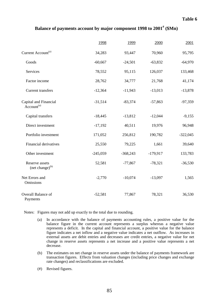## **Balance of payments account by major component 1998 to 2001# (\$Mn)**

|                                                          | 1998       | 1999       | 2000       | 2001       |
|----------------------------------------------------------|------------|------------|------------|------------|
| Current Account <sup>(a)</sup>                           | 34,283     | 93,447     | 70,960     | 95,795     |
| Goods                                                    | $-60,667$  | $-24,501$  | $-63,832$  | $-64,970$  |
| Services                                                 | 78,552     | 95,115     | 126,037    | 133,468    |
| Factor income                                            | 28,762     | 34,777     | 21,768     | 41,174     |
| <b>Current transfers</b>                                 | $-12,364$  | $-11,943$  | $-13,013$  | $-13,878$  |
| Capital and Financial<br>$\bar{A}$ ccount <sup>(a)</sup> | $-31,514$  | $-83,374$  | $-57,863$  | $-97,359$  |
| Capital transfers                                        | $-18,445$  | $-13,812$  | $-12,044$  | $-9,155$   |
| Direct investment                                        | $-17,192$  | 40,511     | 19,976     | 96,948     |
| Portfolio investment                                     | 171,052    | 256,812    | 190,782    | $-322,045$ |
| <b>Financial derivatives</b>                             | 25,550     | 79,225     | 1,661      | 39,640     |
| Other investment                                         | $-245,059$ | $-368,243$ | $-179,917$ | 133,783    |
| Reserve assets<br>(net change) <sup>(b)</sup>            | 52,581     | $-77,867$  | $-78,321$  | $-36,530$  |
| Net Errors and<br>Omissions                              | $-2,770$   | $-10,074$  | $-13,097$  | 1,565      |
| Overall Balance of<br>Payments                           | $-52,581$  | 77,867     | 78,321     | 36,530     |

Notes: Figures may not add up exactly to the total due to rounding.

- (a) In accordance with the balance of payments accounting rules, a positive value for the balance figure in the current account represents a surplus whereas a negative value represents a deficit. In the capital and financial account, a positive value for the balance figure indicates a net inflow and a negative value indicates a net outflow. As increases in external assets are debit entries and decreases are credit entries, a negative value for net change in reserve assets represents a net increase and a positive value represents a net decrease.
- (b) The estimates on net change in reserve assets under the balance of payments framework are transaction figures. Effects from valuation changes (including price changes and exchange rate changes) and reclassifications are excluded.
- (#) Revised figures.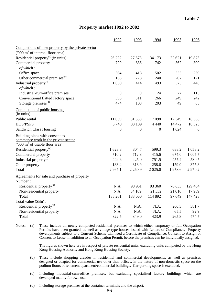### **Property market 1992 to 2002**

|                                                                                                                     | 1992             | 1993             | 1994             | 1995   | 1996             |
|---------------------------------------------------------------------------------------------------------------------|------------------|------------------|------------------|--------|------------------|
| Completions of new property by the private sector                                                                   |                  |                  |                  |        |                  |
| ('000 m <sup>2</sup> of internal floor area)                                                                        |                  |                  |                  |        |                  |
| Residential property <sup>(a)</sup> (in units)                                                                      | 26 222           | 27 673           | 34 173           | 22 621 | 19875            |
| Commercial property                                                                                                 | 729              | 686              | 742              | 562    | 390              |
| of which:                                                                                                           |                  |                  |                  |        |                  |
| Office space                                                                                                        | 564              | 413              | 502              | 355    | 269              |
| Other commercial premises <sup>(b)</sup>                                                                            | 165              | 273              | 240              | 207    | 121              |
| Industrial property <sup>(c)</sup>                                                                                  | 1 0 3 0          | 414              | 493              | 375    | 440              |
| of which:                                                                                                           |                  |                  |                  |        |                  |
| Industrial-cum-office premises                                                                                      | $\boldsymbol{0}$ | $\boldsymbol{0}$ | 24               | 77     | 115              |
| Conventional flatted factory space                                                                                  | 556              | 311              | 266              | 249    | 242              |
| Storage premises <sup>(d)</sup>                                                                                     | 474              | 103              | 203              | 49     | 83               |
| Completion of public housing<br>(in units)                                                                          |                  |                  |                  |        |                  |
| Public rental                                                                                                       | 11 039           | 31 533           | 17098            | 17 349 | 18 3 5 8         |
| HOS/PSPS                                                                                                            | 5 7 4 0          | 33 109           | 4 4 4 0          | 14 472 | 10 3 25          |
| <b>Sandwich Class Housing</b>                                                                                       | $\boldsymbol{0}$ | $\boldsymbol{0}$ | $\boldsymbol{0}$ | 1 0 24 | $\boldsymbol{0}$ |
| Building plans with consent to<br>commence work in the private sector<br>('000 m <sup>2</sup> of usable floor area) |                  |                  |                  |        |                  |
| Residential property <sup>(e)</sup>                                                                                 | 1 623.8          | 804.7            | 599.3            | 688.2  | 1 058.2          |
| Commercial property                                                                                                 | 710.2            | 712.3            | 415.6            | 674.0  | 1 005.7          |
| Industrial property <sup>(f)</sup>                                                                                  | 449.6            | 425.0            | 751.5            | 457.4  | 530.5            |
| Other property                                                                                                      | 183.4            | 318.9            | 258.6            | 159.0  | 375.8            |
| Total                                                                                                               | 2967.1           | 2 2 6 0.9        | 2 0 2 5 .0       | 1978.6 | 2970.2           |
| Agreements for sale and purchase of property                                                                        |                  |                  |                  |        |                  |
| Number:                                                                                                             |                  |                  |                  |        |                  |
| Residential property <sup>(g)</sup>                                                                                 | N.A.             | 98 951           | 93 360           | 76 633 | 129 484          |
| Non-residential property                                                                                            | N.A.             | 34 109           | 21 5 32          | 21 016 | 17939            |
| Total                                                                                                               | 135 261          | 133 060          | 114 892          | 97 649 | 147 423          |
| Total value (\$Bn):                                                                                                 |                  |                  |                  |        |                  |
| Residential property <sup>(g)</sup>                                                                                 | N.A.             | N.A.             | N.A.             | 200.3  | 381.7            |
| Non-residential property                                                                                            | N.A.             | N.A.             | N.A.             | 65.5   | 92.9             |
| Total                                                                                                               | 322.5            | 349.0            | 423.9            | 265.8  | 474.7            |

Notes: (a) These include all newly completed residential premises to which either temporary or full Occupation Permits have been granted, as well as village-type houses issued with Letters of Compliance. Property developments subject to a Consent Scheme will need a Certificate of Compliance, Consent to Assign or Consent to Lease, in addition to an Occupation Permit, before the premises can be individually assigned.

> The figures shown here are in respect of private residential units, excluding units completed by the Hong Kong Housing Authority and Hong Kong Housing Society.

- (b) These include shopping arcades in residential and commercial developments, as well as premises designed or adapted for commercial use other than offices, in the nature of non-domestic space on the podium floors of tenement apartment/commercial buildings. Car-parking space is excluded.
- (c) Including industrial-cum-office premises, but excluding specialised factory buildings which are developed mainly for own use.
- (d) Including storage premises at the container terminals and the airport.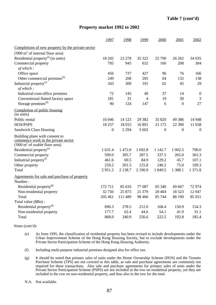## **Property market 1992 to 2002**

|                                                                                                                     | 1997             | 1998       | 1999           | 2000             | 2001             | 2002             |
|---------------------------------------------------------------------------------------------------------------------|------------------|------------|----------------|------------------|------------------|------------------|
| Completions of new property by the private sector                                                                   |                  |            |                |                  |                  |                  |
| ('000 m <sup>2</sup> of internal floor area)                                                                        |                  |            |                |                  |                  |                  |
| Residential property <sup>(a)</sup> (in units)                                                                      | 18 202           | 22 278     | 35 322         | 25 790           | 26 26 2          | 34 0 35          |
| Commercial property                                                                                                 | 705              | 945        | 632            | 160              | 208              | 304              |
| of which:                                                                                                           |                  |            |                |                  |                  |                  |
| Office space                                                                                                        | 456              | 737        | 427            | 96               | 76               | 166              |
| Other commercial premises <sup>(b)</sup>                                                                            | 249              | 208        | 205            | 64               | 132              | 138              |
| Industrial property <sup>(c)</sup>                                                                                  | 343              | 300        | 191            | 62               | 45               | 29               |
| of which:                                                                                                           |                  |            |                |                  |                  |                  |
| Industrial-cum-office premises                                                                                      | 72               | 145        | 40             | 37               | 14               | $\boldsymbol{0}$ |
| Conventional flatted factory space                                                                                  | 181              | 31         | $\overline{4}$ | 19               | 30               | $\mathfrak{Z}$   |
| Storage premises <sup>(d)</sup>                                                                                     | 90               | 124        | 147            | 6                | $\mathbf{0}$     | 27               |
| Completion of public housing<br>(in units)                                                                          |                  |            |                |                  |                  |                  |
| Public rental                                                                                                       | 16 04 6          | 14 123     | 29 3 8 2       | 35 820           | 49 3 8 6         | 14 948           |
| HOS/PSPS                                                                                                            | 18 257           | 18 015     | 16 891         | 21 172           | 22 390           | 11 658           |
| <b>Sandwich Class Housing</b>                                                                                       | $\boldsymbol{0}$ | 2 2 9 4    | 5 602          | $\boldsymbol{0}$ | $\boldsymbol{0}$ | $\overline{0}$   |
| Building plans with consent to<br>commence work in the private sector<br>('000 m <sup>2</sup> of usable floor area) |                  |            |                |                  |                  |                  |
| Residential property <sup>(e)</sup>                                                                                 | 1 631.4          | 1 472.0    | 1 692.8        | 1 1 4 2.7        | 1 002.5          | 790.0            |
| Commercial property                                                                                                 | 599.0            | 395.7      | 287.5          | 337.5            | 265.0            | 365.3            |
| Industrial property <sup>(f)</sup>                                                                                  | 461.6            | 69.5       | 84.9           | 129.2            | 45.7             | 107.1            |
| Other property                                                                                                      | 259.2            | 201.5      | 125.8          | 240.2            | 75.0             | 109.3            |
| Total                                                                                                               | 2951.2           | 2 1 3 8 .7 | 2 190.9        | 1 849.5          | 1 388.1          | 1 371.8          |
| Agreements for sale and purchase of property<br>Number:                                                             |                  |            |                |                  |                  |                  |
| Residential property <sup>(g)</sup>                                                                                 | 172711           | 85 616     | 77 087         | 65 340           | 69 667           | 72 974           |
| Non-residential property                                                                                            | 32 750           | 25 873     | 21 379         | 20 404           | 18 5 23          | 12 947           |
| Total                                                                                                               | 205 461          | 111 489    | 98 4 66        | 85 744           | 88 190           | 85 921           |
| Total value (\$Bn):                                                                                                 |                  |            |                |                  |                  |                  |
| Residential property <sup>(g)</sup>                                                                                 | 690.3            | 278.5      | 212.0          | 168.4            | 150.9            | 154.3            |
| Non-residential property                                                                                            | 177.7            | 62.4       | 44.6           | 54.1             | 41.9             | 31.1             |
| Total                                                                                                               | 868.0            | 340.9      | 256.6          | 222.5            | 192.8            | 185.4            |

Notes (cont'd):

- (e) As from 1995, the classification of residential property has been revised to include developments under the Urban Improvement Scheme of the Hong Kong Housing Society, but to exclude developments under the Private Sector Participation Scheme of the Hong Kong Housing Authority.
- (f) Including multi-purpose industrial premises designed also for office use.
- (g) It should be noted that primary sales of units under the Home Ownership Scheme (HOS) and the Tenants Purchase Scheme (TPS) are not covered in this table, as sale and purchase agreements are commonly not required for these transactions. Also sale and purchase agreements for primary sales of units under the Private Sector Participation Scheme (PSPS) are not included in the row on residential property, yet they are included in the row on non-residential property, and thus also in the row for the total.
- N.A. Not available.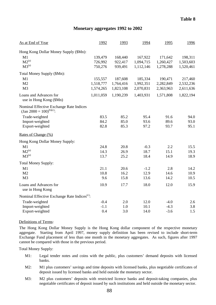## **Monetary aggregates 1992 to 2002**

| As at End of Year                                                                  | 1992      | 1993      | 1994      | 1995      | 1996                 |
|------------------------------------------------------------------------------------|-----------|-----------|-----------|-----------|----------------------|
| Hong Kong Dollar Money Supply (\$Mn):<br>M1                                        | 139,479   | 168,440   | 167,922   | 171,642   |                      |
| $M2^{(a)}$                                                                         | 726,992   | 922,417   | 1,094,715 | 1,260,427 | 198,311<br>1,503,603 |
| $M3^{(a)}$                                                                         | 750,276   | 939,491   | 1,112,146 | 1,278,288 | 1,520,461            |
| Total Money Supply (\$Mn):                                                         |           |           |           |           |                      |
| M1                                                                                 | 155,557   | 187,608   | 185,334   | 190,471   | 217,460              |
| M <sub>2</sub>                                                                     | 1,518,777 | 1,764,416 | 1,992,351 | 2,282,849 | 2,532,236            |
| M <sub>3</sub>                                                                     | 1,574,265 | 1,823,108 | 2,070,831 | 2,363,963 | 2,611,636            |
| Loans and Advances for<br>use in Hong Kong (\$Mn)                                  | 1,011,059 | 1,190,239 | 1,403,931 | 1,571,808 | 1,822,194            |
| Nominal Effective Exchange Rate Indices<br>(Jan 2000 = $100$ ) <sup>(b)(c)</sup> : |           |           |           |           |                      |
| Trade-weighted                                                                     | 83.5      | 85.2      | 95.4      | 91.6      | 94.0                 |
| Import-weighted                                                                    | 84.2      | 85.0      | 93.6      | 89.6      | 93.0                 |
| Export-weighted                                                                    | 82.8      | 85.3      | 97.2      | 93.7      | 95.1                 |
| Rates of Change (%)                                                                |           |           |           |           |                      |
| Hong Kong Dollar Money Supply:                                                     |           |           |           |           |                      |
| M1                                                                                 | 24.8      | 20.8      | $-0.3$    | 2.2       | 15.5                 |
| $M2^{(a)}$                                                                         | 14.3      | 26.9      | 18.7      | 15.1      | 19.3                 |
| $M3^{(a)}$                                                                         | 13.7      | 25.2      | 18.4      | 14.9      | 18.9                 |
| <b>Total Money Supply:</b>                                                         |           |           |           |           |                      |
| M1                                                                                 | 21.1      | 20.6      | $-1.2$    | 2.8       | 14.2                 |
| M <sub>2</sub>                                                                     | 10.8      | 16.2      | 12.9      | 14.6      | 10.9                 |
| M <sub>3</sub>                                                                     | 9.6       | 15.8      | 13.6      | 14.2      | 10.5                 |
| Loans and Advances for<br>use in Hong Kong                                         | 10.9      | 17.7      | 18.0      | 12.0      | 15.9                 |
| Nominal Effective Exchange Rate Indices <sup>(c)</sup> :                           |           |           |           |           |                      |
| Trade-weighted                                                                     | $-0.4$    | 2.0       | 12.0      | $-4.0$    | 2.6                  |
| Import-weighted                                                                    | $-1.1$    | 1.0       | 10.1      | $-4.3$    | 3.8                  |
| Export-weighted                                                                    | 0.4       | 3.0       | 14.0      | $-3.6$    | 1.5                  |

#### Definitions of Terms:

The Hong Kong Dollar Money Supply is the Hong Kong dollar component of the respective monetary aggregate. Starting from April 1997, money supply definition has been revised to include short-term Exchange Fund placement of less than one month in the monetary aggregates. As such, figures after 1997 cannot be compared with those in the previous period.

Total Money Supply:

- M1: Legal tender notes and coins with the public, plus customers' demand deposits with licensed banks.
- M2: M1 plus customers' savings and time deposits with licensed banks, plus negotiable certificates of deposit issued by licensed banks and held outside the monetary sector.
- M3: M2 plus customers' deposits with restricted licence banks and deposit-taking companies, plus negotiable certificates of deposit issued by such institutions and held outside the monetary sector.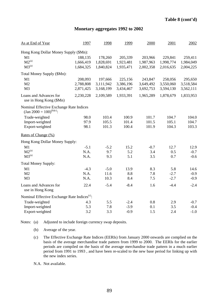## **Monetary aggregates 1992 to 2002**

| As at End of Year                                                                  | 1997      | 1998      | 1999      | 2000      | 2001      | 2002      |
|------------------------------------------------------------------------------------|-----------|-----------|-----------|-----------|-----------|-----------|
| Hong Kong Dollar Money Supply (\$Mn):                                              |           |           |           |           |           |           |
| M1                                                                                 | 188,135   | 178,260   | 205,339   | 203,966   | 229,841   | 259,411   |
| $M2^{(a)}$                                                                         | 1,666,419 | 1,828,691 | 1,923,481 | 1,987,963 | 1,998,774 | 1,984,049 |
| $M3^{(a)}$                                                                         | 1,684,325 | 1,840,824 | 1,935,471 | 2,002,358 | 2,016,635 | 2,004,225 |
| Total Money Supply (\$Mn):                                                         |           |           |           |           |           |           |
| M1                                                                                 | 208,093   | 197,666   | 225,156   | 243,847   | 258,056   | 295,650   |
| M <sub>2</sub>                                                                     | 2,788,808 | 3,111,942 | 3,386,196 | 3,649,492 | 3,550,060 | 3,518,584 |
| M <sub>3</sub>                                                                     | 2,871,425 | 3,168,199 | 3,434,467 | 3,692,753 | 3,594,130 | 3,562,111 |
| Loans and Advances for<br>use in Hong Kong (\$Mn)                                  | 2,230,228 | 2,109,589 | 1,933,391 | 1,965,289 | 1,878,679 | 1,833,953 |
| Nominal Effective Exchange Rate Indices<br>(Jan 2000 = $100$ ) <sup>(b)(c)</sup> : |           |           |           |           |           |           |
| Trade-weighted                                                                     | 98.0      | 103.4     | 100.9     | 101.7     | 104.7     | 104.0     |
| Import-weighted                                                                    | 97.9      | 105.5     | 101.4     | 101.5     | 105.1     | 104.7     |
| Export-weighted                                                                    | 98.1      | 101.3     | 100.4     | 101.9     | 104.3     | 103.3     |
| Rates of Change (%)                                                                |           |           |           |           |           |           |
| Hong Kong Dollar Money Supply:                                                     |           |           |           |           |           |           |
| M1                                                                                 | $-5.1$    | $-5.2$    | 15.2      | $-0.7$    | 12.7      | 12.9      |
| $M2^{(a)}$                                                                         | N.A.      | 9.7       | 5.2       | 3.4       | 0.5       | $-0.7$    |
| M3 <sup>(a)</sup>                                                                  | N.A.      | 9.3       | 5.1       | 3.5       | 0.7       | $-0.6$    |
| <b>Total Money Supply:</b>                                                         |           |           |           |           |           |           |
| M1                                                                                 | $-4.3$    | $-5.0$    | 13.9      | 8.3       | 5.8       | 14.6      |
| M <sub>2</sub>                                                                     | N.A.      | 11.6      | 8.8       | 7.8       | $-2.7$    | $-0.9$    |
| M <sub>3</sub>                                                                     | N.A.      | 10.3      | 8.4       | 7.5       | $-2.7$    | $-0.9$    |
| Loans and Advances for<br>use in Hong Kong                                         | 22.4      | $-5.4$    | $-8.4$    | 1.6       | $-4.4$    | $-2.4$    |
| Nominal Effective Exchange Rate Indices <sup>(c)</sup> :                           |           |           |           |           |           |           |
| Trade-weighted                                                                     | 4.3       | 5.5       | $-2.4$    | 0.8       | 2.9       | $-0.7$    |
| Import-weighted                                                                    | 5.3       | 7.8       | $-3.9$    | 0.1       | 3.5       | $-0.4$    |
| Export-weighted                                                                    | 3.2       | 3.3       | $-0.9$    | 1.5       | 2.4       | $-1.0$    |

Notes: (a) Adjusted to include foreign currency swap deposits.

- (b) Average of the year.
- (c) The Effective Exchange Rate Indices (EERIs) from January 2000 onwards are complied on the basis of the average merchandise trade pattern from 1999 to 2000. The EERIs for the earlier periods are compiled on the basis of the average merchandise trade pattern in a much earlier period from 1991 to 1993 , and have been re-scaled to the new base period for linking up with the new index series.

N.A. Not available.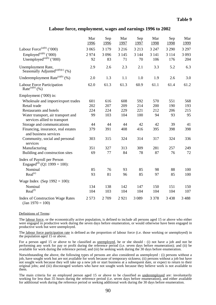#### **Labour force, employment, wages and earnings 1996 to 2002**

|                                                                        | Mar<br>1996 | Sep<br>1996   | Mar<br>1997   | Sep<br>1997   | Mar<br>1998    | Sep<br>1998    | Mar<br>1999    |
|------------------------------------------------------------------------|-------------|---------------|---------------|---------------|----------------|----------------|----------------|
| Labour Force <sup>(a)(b)</sup> ('000)                                  | 3 0 6 5     | 3 1 7 9       | 3 2 1 6       | 3 2 1 3       | 3 2 4 7        | 3 2 9 0        | 3 2 9 7        |
| Employed <sup>(a)(b)</sup> ('000)<br>Unemployed $^{(a)(b)}$ ('000)     | 2974<br>92  | 3 0 9 6<br>83 | 3 1 4 5<br>71 | 3 1 4 4<br>70 | 3 1 4 1<br>106 | 3 1 1 4<br>176 | 3 0 9 3<br>204 |
|                                                                        |             |               |               |               |                |                |                |
| Unemployment Rate,<br>Seasonally Adjusted <sup>(a)(b)(c)</sup> (%)     | 2.9         | 2.6           | 2.3           | 2.1           | 3.3            | 5.2            | 6.3            |
| Underemployment Rate $^{(a)(b)}$ (%)                                   | 2.0         | 1.3           | 1.1           | 1.0           | 1.9            | 2.6            | 3.0            |
| Labour Force Participation<br>Rate <sup>(a)(b)</sup> (%)               | 62.0        | 61.3          | 61.3          | 60.9          | 61.1           | 61.4           | 61.2           |
| Employment ('000) in:                                                  |             |               |               |               |                |                |                |
| Wholesale and import/export trades                                     | 601         | 616           | 608           | 592           | 570            | 551            | 568            |
| Retail trade                                                           | 202         | 207           | 209           | 214           | 200            | 190            | 193            |
| Restaurants and hotels                                                 | 224         | 224           | 229           | 221           | 212            | 206            | 215            |
| Water transport, air transport and<br>services allied to transport     | 99          | 103           | 104           | 100           | 94             | 93             | 95             |
| Storage and communications                                             | 44          | 44            | 44            | 42            | 42             | 39             | 41             |
| Financing, insurance, real estates<br>and business services            | 379         | 391           | 408           | 416           | 395            | 398            | 398            |
| Community, social and personal<br>services                             | 303         | 315           | 324           | 314           | 317            | 324            | 336            |
| Manufacturing                                                          | 351         | 327           | 313           | 309           | 281            | 257            | 249            |
| Building and construction sites                                        | 69          | 77            | 84            | 78            | 87             | 76             | 72             |
| Index of Payroll per Person<br>Engaged <sup>(d)</sup> (Q1 1999 = 100): |             |               |               |               |                |                |                |
| Nominal                                                                | 85          | 76            | 93            | 85            | 98             | 88             | 100            |
| Real <sup>(e)</sup>                                                    | 93          | 81            | 96            | 85            | 97             | 85             | 100            |
| Wage Index (Sep $1992 = 100$ ):                                        |             |               |               |               |                |                |                |
| Nominal                                                                | 134         | 138           | 142           | 147           | 150            | 151            | 150            |
| Real <sup>(f)</sup>                                                    | 104         | 103           | 104           | 104           | 104            | 104            | 107            |
| <b>Index of Construction Wage Rates</b><br>$\text{(Jan 1970)} = 100$   | 2 5 7 3     | 2709          | 2921          | 3 0 8 9       | 3 3 7 8        | 3 4 3 8        | 3 4 8 8        |

#### Definitions of Terms:

The labour force, or the economically active population, is defined to include all persons aged 15 or above who either were engaged in productive work during the seven days before enumeration, or would otherwise have been engaged in productive work but were unemployed.

The labour force participation rate is defined as the proportion of labour force (i.e. those working or unemployed) in the population aged 15 or above.

For a person aged 15 or above to be classified as unemployed, he or she should : (i) not have a job and not be performing any work for pay or profit during the reference period (i.e. seven days before enumeration); and (ii) be available for work during the reference period; and (iii) be seeking work during the 30 days before enumeration.

Notwithstanding the above, the following types of persons are also considered as unemployed : (i) persons without a job, have sought work but are not available for work because of temporary sickness; (ii) persons without a job but have not sought work because they will take up a new job or start business at a subsequent date, or expect to return to their original jobs; and (iii) discouraged workers who have not sought work because they believe work is not available to them.

The main criteria for an employed person aged 15 or above to be classified as underemployed are: involuntarily working for less than 35 hours during the reference period (i.e. seven days before enumeration), and either available for additional work during the reference period or seeking additional work during the 30 days before enumeration.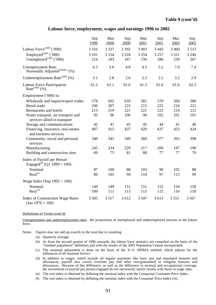#### **Labour force, employment, wages and earnings 1996 to 2002**

|                                                                        | Sep<br>1999 | Mar<br>2000 | Sep<br>2000 | Mar<br>2001 | Sep<br>2001 | Mar<br>2002 | Sep<br>2002 |
|------------------------------------------------------------------------|-------------|-------------|-------------|-------------|-------------|-------------|-------------|
| Labour Force <sup>(a)(b)</sup> ('000)                                  | 3 3 1 6     | 3 3 3 7     | 3 3 9 2     | 3 4 0 3     | 3 4 4 3     | 3 4 6 0     | 3 5 1 3     |
| Employed <sup>(a)(b)</sup> ('000)                                      | 3 101       | 3 1 5 4     | 3 2 2 4     | 3 2 5 4     | 3 2 5 7     | 3 2 2 1     | 3 2 4 6     |
| Unemployed $^{(a)(b)}$ ('000)                                          | 214         | 183         | 167         | 150         | 186         | 239         | 267         |
| Unemployment Rate,<br>Seasonally Adjusted <sup>(a)(b)(c)</sup> (%)     | 6.3         | 5.6         | 4.8         | 4.5         | 5.2         | 7.0         | 7.4         |
| Underemployment Rate $^{(a)(b)}$ (%)                                   | 3.1         | 2.8         | 2.6         | 2.3         | 2.5         | 3.2         | 2.9         |
| Labour Force Participation<br>Rate <sup>(a)(b)</sup> (%)               | 61.2        | 61.1        | 61.6        | 61.3        | 61.6        | 61.6        | 62.3        |
| Employment ('000) in:                                                  |             |             |             |             |             |             |             |
| Wholesale and import/export trades                                     | 579         | 602         | 610         | 581         | 579         | 566         | 580         |
| Retail trade                                                           | 206         | 207         | 223         | 215         | 225         | 216         | 221         |
| Restaurants and hotels                                                 | 213         | 219         | 221         | 221         | 223         | 214         | 212         |
| Water transport, air transport and<br>services allied to transport     | 95          | 96          | 100         | 98          | 102         | 101         | 101         |
| Storage and communications                                             | 42          | 41          | 45          | 45          | 44          | 41          | 40          |
| Financing, insurance, real estates<br>and business services            | 407         | 415         | 437         | 429         | 437         | 423         | 424         |
| Community, social and personal<br>services                             | 340         | 345         | 349         | 360         | 377         | 392         | 398         |
| Manufacturing                                                          | 245         | 234         | 229         | 217         | 209         | 197         | 190         |
| Building and construction sites                                        | 69          | 75          | 81          | 88          | 77          | 77          | 70          |
| Index of Payroll per Person<br>Engaged <sup>(d)</sup> (Q1 1999 = 100): |             |             |             |             |             |             |             |
| Nominal                                                                | 87          | 100         | 88          | 103         | 90          | 102         | 88          |
| Real <sup>(e)</sup>                                                    | 89          | 105         | 94          | 110         | 97          | 113         | 99          |
| Wage Index (Sep $1992 = 100$ ):                                        |             |             |             |             |             |             |             |
| Nominal                                                                | 149         | 149         | 151         | 151         | 152         | 150         | 150         |
| Real <sup>(f)</sup>                                                    | 109         | 111         | 113         | 115         | 115         | 116         | 118         |
| <b>Index of Construction Wage Rates</b><br>$(Jan 1970 = 100)$          | 3 5 0 5     | 3517        | 3 6 1 2     | 3 5 4 7     | 3 613       | 3551        | 3 5 6 7     |

#### Definitions of Terms (cont'd)

Unemployment and underemployment rates: the proportions of unemployed and underemployed persons in the labour force.

Notes: Figures may not add up exactly to the total due to rounding.

- (a) Quarterly average.
- (b) As from the second quarter of 1996 onwards, the labour force statistics are compiled on the basis of the "resident population" definition and with the results of the 2001 Population Census incorporated.
- (c) The seasonal adjustment is done on the basis of the X-11 ARIMA method, which adjusts for the influences of all seasonal factors.
- (d) In addition to wages, which include all regular payments like basic pay and stipulated bonuses and allowances, payroll also covers overtime pay and other non-guaranteed or irregular bonuses and allowances. Because of this difference, as well as the difference in sectoral and occupational coverage, the movements in payroll per person engaged do not necessarily match closely with those in wage rates.
- (e) The real index is obtained by deflating the nominal index with the Composite Consumer Price Index.
- (f) The real index is obtained by deflating the nominal index with the Consumer Price Index (A).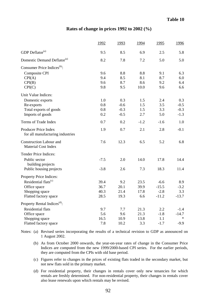#### **Rates of change in prices 1992 to 2002 (%)**

| GDP Deflator <sup>(a)</sup><br>9.5<br>8.5<br>6.9<br>2.5<br>Domestic Demand Deflator <sup>(a)</sup><br>5.0<br>8.2<br>7.8<br>7.2 | 5.8<br>5.0<br>6.3<br>6.0<br>6.4 |
|--------------------------------------------------------------------------------------------------------------------------------|---------------------------------|
|                                                                                                                                |                                 |
|                                                                                                                                |                                 |
| Consumer Price Indices <sup>(b)</sup> :                                                                                        |                                 |
| 9.6<br>8.8<br>8.8<br>Composite CPI<br>9.1                                                                                      |                                 |
| 9.4<br>8.1<br>8.7<br>CPI(A)<br>8.5                                                                                             |                                 |
| 8.6<br>9.6<br>8.7<br>9.2<br>CPI(B)                                                                                             |                                 |
| CPI(C)<br>9.8<br>9.5<br>10.0<br>9.6                                                                                            | 6.6                             |
| Unit Value Indices:                                                                                                            |                                 |
| Domestic exports<br>1.0<br>0.3<br>1.5<br>2.4                                                                                   | 0.3                             |
| 0.8<br>$-0.6$<br>1.5<br>3.5<br>Re-exports                                                                                      | $-0.5$                          |
| 0.8<br>$-0.3$<br>1.5<br>3.3<br>Total exports of goods                                                                          | $-0.3$                          |
| Imports of goods<br>0.2<br>$-0.5$<br>2.7<br>5.0                                                                                | $-1.3$                          |
| Terms of Trade Index<br>0.7<br>0.2<br>$-1.2$<br>$-1.6$                                                                         | 1.0                             |
| 1.9<br>2.1<br>Producer Price Index<br>0.7<br>2.8<br>for all manufacturing industries                                           | $-0.1$                          |
| <b>Construction Labour and</b><br>7.6<br>12.3<br>6.5<br>5.2<br><b>Material Cost Index</b>                                      | 6.8                             |
| Tender Price Indices:                                                                                                          |                                 |
| Public sector<br>$-7.5$<br>2.0<br>17.8<br>14.0<br>building projects                                                            | 14.4                            |
| $-3.8$<br>7.3<br>18.3<br>Public housing projects<br>2.6                                                                        | 11.4                            |
| Property Price Indices:                                                                                                        |                                 |
| Residential flats <sup>(c)</sup><br>39.4<br>9.2<br>23.5<br>$-6.6$                                                              | 8.9                             |
| $-15.5$<br>36.7<br>20.1<br>39.9<br>Office space                                                                                | $-3.2$                          |
| $-2.8$<br>Shopping space<br>40.3<br>21.4<br>17.8                                                                               | 3.3                             |
| Flatted factory space<br>28.5<br>19.3<br>6.6<br>$-11.2$                                                                        | $-13.7$                         |
| Property Rental Indices <sup>(d)</sup> :                                                                                       |                                 |
| Residential flats<br>7.7<br>21.3<br>2.2<br>9.7                                                                                 | $-1.4$                          |
| 5.6<br>9.6<br>21.3<br>$-1.8$<br>Office space                                                                                   | $-14.7$                         |
| Shopping space<br>16.5<br>10.9<br>13.8<br>1.1                                                                                  | $\ast$                          |
| Flatted factory space<br>7.8<br>10.2<br>3.3<br>$-1.7$                                                                          | $-9.9$                          |

Notes: (a) Revised series incorporating the results of a technical revision to GDP as announced on 1 August 2002.

- (b) As from October 2000 onwards, the year-on-year rates of change in the Consumer Price Indices are computed from the new 1999/2000-based CPI series. For the earlier periods, they are computed from the CPIs with old base period.
- (c) Figures refer to changes in the prices of existing flats traded in the secondary market, but not new flats sold in the primary market.
- (d) For residential property, their changes in rentals cover only new tenancies for which rentals are freshly determined. For non-residential property, their changes in rentals cover also lease renewals upon which rentals may be revised.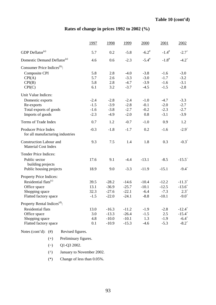# **Rates of change in prices 1992 to 2002 (%)**

|                                                              | 1997   | 1998    | 1999    | 2000                | 2001                | 2002                 |
|--------------------------------------------------------------|--------|---------|---------|---------------------|---------------------|----------------------|
| GDP Deflator <sup>(a)</sup>                                  | 5.7    | 0.2     | $-5.8$  | $-6.2$ <sup>#</sup> | $-1.4$ <sup>#</sup> | $-2.7$ <sup>+</sup>  |
| Domestic Demand Deflator <sup>(a)</sup>                      | 4.6    | 0.6     | $-2.3$  | $-5.4^{\#}$         | $-1.8$ <sup>#</sup> | $-4.2$ <sup>+</sup>  |
| Consumer Price Indices <sup>(b)</sup> :                      |        |         |         |                     |                     |                      |
| Composite CPI                                                | 5.8    | 2.8     | $-4.0$  | $-3.8$              | $-1.6$              | $-3.0$               |
| CPI(A)                                                       | 5.7    | 2.6     | $-3.3$  | $-3.0$              | $-1.7$              | $-3.2$               |
| CPI(B)                                                       | 5.8    | 2.8     | $-4.7$  | $-3.9$              | $-1.6$              | $-3.1$               |
| CPI(C)                                                       | 6.1    | 3.2     | $-3.7$  | $-4.5$              | $-1.5$              | $-2.8$               |
| Unit Value Indices:                                          |        |         |         |                     |                     |                      |
| Domestic exports                                             | $-2.4$ | $-2.8$  | $-2.4$  | $-1.0$              | $-4.7$              | $-3.3$               |
| Re-exports                                                   | $-1.5$ | $-3.9$  | $-2.8$  | $-0.1$              | $-2.0$              | $-2.7$               |
| Total exports of goods                                       | $-1.6$ | $-3.8$  | $-2.7$  | $-0.2$              | $-2.3$              | $-2.7$               |
| Imports of goods                                             | $-2.3$ | $-4.9$  | $-2.0$  | 0.8                 | $-3.1$              | $-3.9$               |
| Terms of Trade Index                                         | 0.7    | 1.2     | $-0.7$  | $-1.0$              | 0.9                 | 1.2                  |
| Producer Price Index                                         | $-0.3$ | $-1.8$  | $-1.7$  | 0.2                 | $-1.6$              | $-2.9$ <sup>~</sup>  |
| for all manufacturing industries                             |        |         |         |                     |                     |                      |
| <b>Construction Labour and</b><br><b>Material Cost Index</b> | 9.3    | 7.5     | 1.4     | 1.8                 | 0.3                 | $-0.3^{\circ}$       |
|                                                              |        |         |         |                     |                     |                      |
| Tender Price Indices:                                        |        |         |         |                     |                     |                      |
| Public sector                                                | 17.6   | 9.1     | $-4.4$  | $-13.1$             | $-8.5$              | $-15.5^{\circ}$      |
| building projects                                            |        | 9.0     | $-3.3$  |                     |                     | $-9.4^{\circ}$       |
| Public housing projects                                      | 18.9   |         |         | $-11.9$             | $-15.1$             |                      |
| Property Price Indices:                                      |        |         |         |                     |                     |                      |
| Residential flats <sup>(c)</sup>                             | 39.5   | $-28.2$ | $-14.6$ | $-10.4$             | $-12.2$             | $-11.3$ <sup>+</sup> |
| Office space                                                 | 13.1   | $-36.9$ | $-25.7$ | $-10.1$             | $-12.5$             | $-13.6^{+}$          |
| Shopping space                                               | 32.3   | $-27.6$ | $-22.1$ | $-6.4$              | $-7.3$              | $2.3^{+}$            |
| Flatted factory space                                        | $-1.5$ | $-22.0$ | $-24.1$ | $-8.8$              | $-10.1$             | $-9.0^+$             |
| Property Rental Indices <sup>(d)</sup> :                     |        |         |         |                     |                     |                      |
| <b>Residential flats</b>                                     | 13.0   | $-16.3$ | $-11.2$ | $-1.9$              | $-2.8$              | $-12.4$ <sup>+</sup> |
| Office space                                                 | 3.0    | $-13.3$ | $-26.4$ | $-1.5$              | 2.5                 | $-15.4^{+}$          |
| Shopping space                                               | 4.8    | $-10.0$ | $-10.1$ | 1.3                 | $-1.9$              | $-6.4^{+}$           |
| Flatted factory space                                        | 0.1    | $-10.9$ | $-15.3$ | $-4.6$              | $-5.3$              | $-8.2^{+}$           |
|                                                              |        |         |         |                     |                     |                      |

|  |  | Notes $(cont'd)$ : $(\#)$ |  | Revised figures. |  |
|--|--|---------------------------|--|------------------|--|
|--|--|---------------------------|--|------------------|--|

- (+) Preliminary figures.
- $(\sim)$  Q1-Q3 2002.
- (^) January to November 2002.
- (\*) Change of less than 0.05%.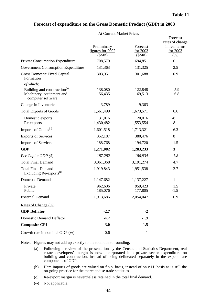| <b>Forecast of expenditure on the Gross Domestic Product (GDP) in 2003</b> |  |
|----------------------------------------------------------------------------|--|
|                                                                            |  |

#### At Current Market Prices

|                                                                                           | Preliminary<br>figures for 2002 | Forecast<br>for 2003 | Forecast<br>rates of change<br>in real terms<br>for 2003 |
|-------------------------------------------------------------------------------------------|---------------------------------|----------------------|----------------------------------------------------------|
|                                                                                           | \$Mn)                           | \$Mn)                | (% )                                                     |
| Private Consumption Expenditure                                                           | 708,579                         | 694,851              | $\boldsymbol{0}$                                         |
| Government Consumption Expenditure                                                        | 131,363                         | 131,325              | 2.5                                                      |
| <b>Gross Domestic Fixed Capital</b><br>Formation                                          | 303,951                         | 301,688              | 0.9                                                      |
| of which:                                                                                 |                                 |                      |                                                          |
| Building and construction <sup>(a)</sup><br>Machinery, equipment and<br>computer software | 138,080<br>156,435              | 122,848<br>169,513   | $-5.9$<br>6.8                                            |
| Change in Inventories                                                                     | 3,789                           | 9,363                | --                                                       |
| <b>Total Exports of Goods</b>                                                             | 1,561,499                       | 1,673,571            | 6.6                                                      |
| Domestic exports<br>Re-exports                                                            | 131,016<br>1,430,482            | 120,016<br>1,553,554 | $-8$<br>8                                                |
| Imports of Goods <sup>(b)</sup>                                                           | 1,601,518                       | 1,713,321            | 6.3                                                      |
| <b>Exports of Services</b>                                                                | 352,187                         | 380,476              | 8                                                        |
| <b>Imports of Services</b>                                                                | 188,768                         | 194,720              | 1.5                                                      |
| <b>GDP</b>                                                                                | 1,271,082                       | 1,283,233            | 3                                                        |
| Per Capita GDP (\$)                                                                       | 187,282                         | 186,934              | 1.8                                                      |
| <b>Total Final Demand</b>                                                                 | 3,061,368                       | 3,191,274            | 4.7                                                      |
| <b>Total Final Demand</b><br>Excluding Re-exports <sup>(c)</sup>                          | 1,919,843                       | 1,951,538            | 2.7                                                      |
| <b>Domestic Demand</b>                                                                    | 1,147,682                       | 1,137,227            | $\mathbf{1}$                                             |
| Private<br>Public                                                                         | 962,606<br>185,076              | 959,423<br>177,805   | 1.5<br>$-1.5$                                            |
| <b>External Demand</b>                                                                    | 1,913,686                       | 2,054,047            | 6.9                                                      |
| Rates of Change (%)                                                                       |                                 |                      |                                                          |
| <b>GDP</b> Deflator                                                                       | $-2.7$                          | $-2$                 |                                                          |
| <b>Domestic Demand Deflator</b>                                                           | $-4.2$                          | $-1.9$               |                                                          |
| <b>Composite CPI</b>                                                                      | $-3.0$                          | $-1.5$               |                                                          |
| Growth rate in nominal GDP (%)                                                            | $-0.6$                          | $\mathbf{1}$         |                                                          |

Notes: Figures may not add up exactly to the total due to rounding.

- (a) Following a review of the presentation by the Census and Statistics Department, real estate developers' margin is now incorporated into private sector expenditure on building and construction, instead of being delineated separately in the expenditure components of GDP.
- (b) Here imports of goods are valued on f.o.b. basis, instead of on c.i.f. basis as is still the on-going practice for the merchandise trade statistics.
- (c) Re-export margin is nevertheless retained in the total final demand.
- (--) Not applicable.